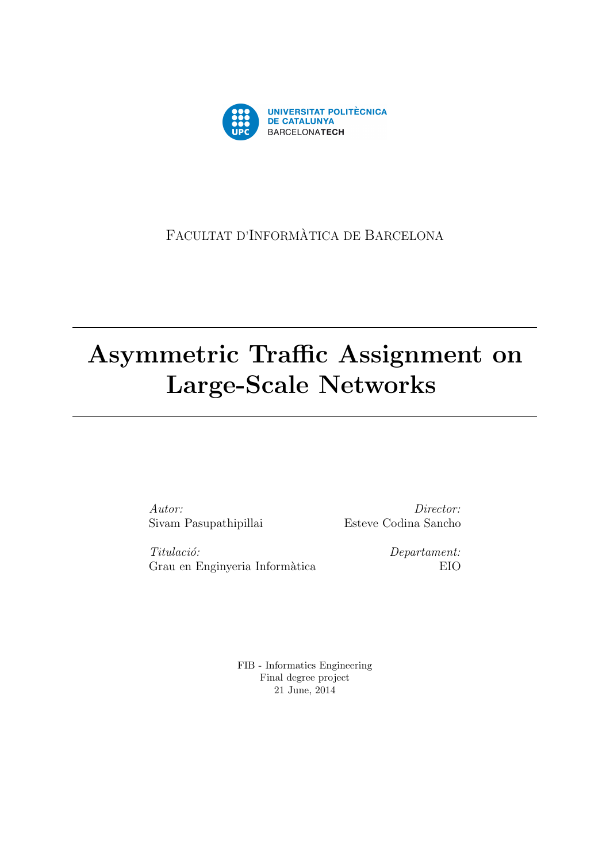

### FACULTAT D'INFORMÀTICA DE BARCELONA

# Asymmetric Traffic Assignment on Large-Scale Networks

Autor: Sivam Pasupathipillai

Director: Esteve Codina Sancho

Titulació: Grau en Enginyeria Informàtica Departament: EIO

FIB - Informatics Engineering Final degree project 21 June, 2014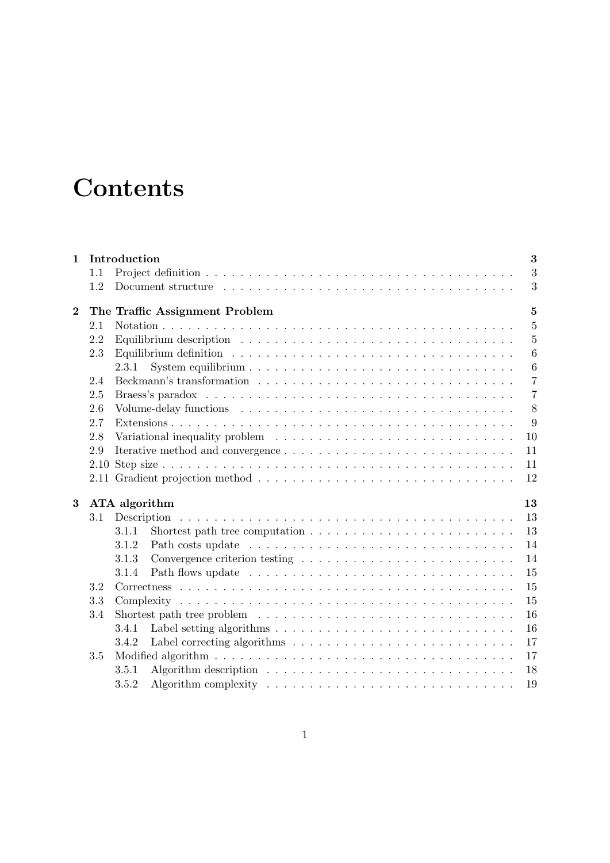# **Contents**

| $\mathbf{1}$ |          | Introduction<br>3                                                                                                        |
|--------------|----------|--------------------------------------------------------------------------------------------------------------------------|
|              | 1.1      | 3                                                                                                                        |
|              | 1.2      | 3                                                                                                                        |
| $\bf{2}$     |          | $\overline{5}$<br>The Traffic Assignment Problem                                                                         |
|              | 2.1      | $\overline{5}$                                                                                                           |
|              | 2.2      | Equilibrium description $\ldots \ldots \ldots \ldots \ldots \ldots \ldots \ldots \ldots \ldots \ldots$<br>$\overline{5}$ |
|              | 2.3      | 6                                                                                                                        |
|              |          | $6\phantom{.}6$<br>2.3.1                                                                                                 |
|              | 2.4      | $\overline{7}$                                                                                                           |
|              | 2.5      | $\overline{7}$                                                                                                           |
|              | 2.6      | 8                                                                                                                        |
|              | 2.7      | 9                                                                                                                        |
|              | 2.8      | 10                                                                                                                       |
|              | 2.9      | 11                                                                                                                       |
|              | 2.10     | 11                                                                                                                       |
|              | $2.11\,$ | 12                                                                                                                       |
| 3            |          | ATA algorithm<br>13                                                                                                      |
|              | $3.1\,$  | 13<br>Description                                                                                                        |
|              |          | 13<br>Shortest path tree computation $\ldots \ldots \ldots \ldots \ldots \ldots \ldots \ldots$<br>3.1.1                  |
|              |          | 14<br>3.1.2                                                                                                              |
|              |          | Convergence criterion testing $\ldots \ldots \ldots \ldots \ldots \ldots \ldots \ldots$<br>14<br>3.1.3                   |
|              |          | 15<br>3.1.4                                                                                                              |
|              | 3.2      | 15                                                                                                                       |
|              | 3.3      | 15                                                                                                                       |
|              | 3.4      | 16                                                                                                                       |
|              |          | 16<br>3.4.1                                                                                                              |
|              |          | 17<br>3.4.2                                                                                                              |
|              | 3.5      | 17                                                                                                                       |
|              |          | 3.5.1<br>18                                                                                                              |
|              |          | 3.5.2<br>19                                                                                                              |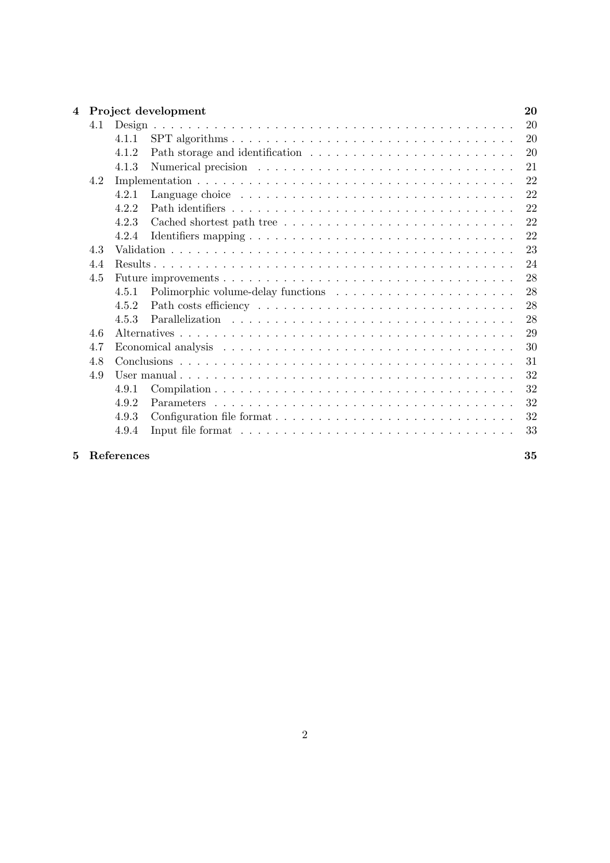| $\overline{\mathbf{4}}$ |     | Project development |    |  |  |  |  |  |
|-------------------------|-----|---------------------|----|--|--|--|--|--|
|                         | 4.1 |                     | 20 |  |  |  |  |  |
|                         |     | 4.1.1               | 20 |  |  |  |  |  |
|                         |     | 4.1.2               | 20 |  |  |  |  |  |
|                         |     | 4.1.3               | 21 |  |  |  |  |  |
|                         | 4.2 |                     | 22 |  |  |  |  |  |
|                         |     | 4.2.1               | 22 |  |  |  |  |  |
|                         |     | 4.2.2               | 22 |  |  |  |  |  |
|                         |     | 4.2.3               | 22 |  |  |  |  |  |
|                         |     | 4.2.4               | 22 |  |  |  |  |  |
|                         | 4.3 |                     | 23 |  |  |  |  |  |
|                         | 4.4 |                     |    |  |  |  |  |  |
|                         | 4.5 |                     | 28 |  |  |  |  |  |
|                         |     | 4.5.1               | 28 |  |  |  |  |  |
|                         |     | 4.5.2               | 28 |  |  |  |  |  |
|                         |     | 4.5.3               | 28 |  |  |  |  |  |
|                         | 4.6 |                     | 29 |  |  |  |  |  |
|                         | 4.7 |                     | 30 |  |  |  |  |  |
|                         | 4.8 |                     | 31 |  |  |  |  |  |
|                         | 4.9 |                     | 32 |  |  |  |  |  |
|                         |     | 4.9.1               | 32 |  |  |  |  |  |
|                         |     | 4.9.2               | 32 |  |  |  |  |  |
|                         |     | 4.9.3               | 32 |  |  |  |  |  |
|                         |     | 4.9.4               | 33 |  |  |  |  |  |
|                         |     |                     |    |  |  |  |  |  |

#### 5 References 35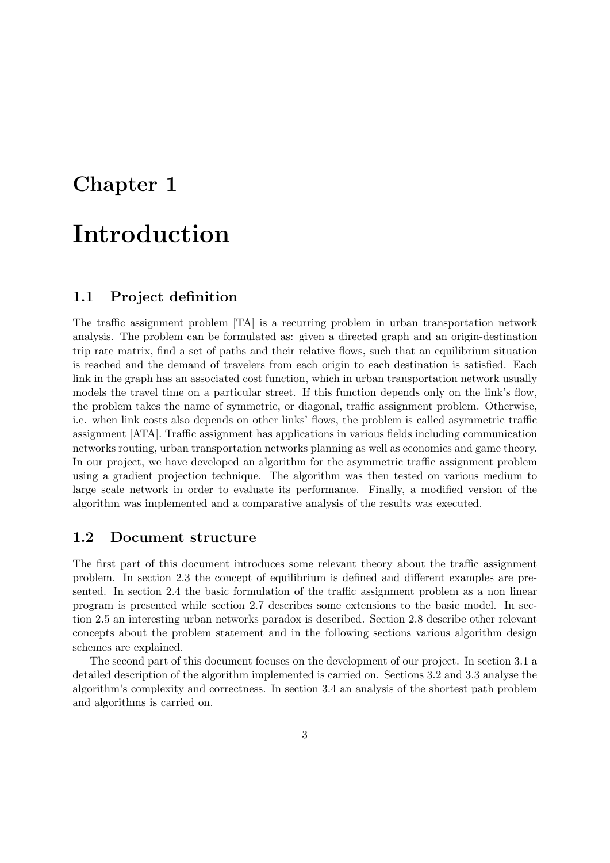# Chapter 1 Introduction

# 1.1 Project definition

#### The traffic assignment problem [TA] is a recurring problem in urban transportation network analysis. The problem can be formulated as: given a directed graph and an origin-destination trip rate matrix, find a set of paths and their relative flows, such that an equilibrium situation is reached and the demand of travelers from each origin to each destination is satisfied. Each link in the graph has an associated cost function, which in urban transportation network usually models the travel time on a particular street. If this function depends only on the link's flow, the problem takes the name of symmetric, or diagonal, traffic assignment problem. Otherwise, i.e. when link costs also depends on other links' flows, the problem is called asymmetric traffic assignment [ATA]. Traffic assignment has applications in various fields including communication networks routing, urban transportation networks planning as well as economics and game theory. In our project, we have developed an algorithm for the asymmetric traffic assignment problem using a gradient projection technique. The algorithm was then tested on various medium to large scale network in order to evaluate its performance. Finally, a modified version of the

algorithm was implemented and a comparative analysis of the results was executed.

#### 1.2 Document structure

The first part of this document introduces some relevant theory about the traffic assignment problem. In section 2.3 the concept of equilibrium is defined and different examples are presented. In section 2.4 the basic formulation of the traffic assignment problem as a non linear program is presented while section 2.7 describes some extensions to the basic model. In section 2.5 an interesting urban networks paradox is described. Section 2.8 describe other relevant concepts about the problem statement and in the following sections various algorithm design schemes are explained.

The second part of this document focuses on the development of our project. In section 3.1 a detailed description of the algorithm implemented is carried on. Sections 3.2 and 3.3 analyse the algorithm's complexity and correctness. In section 3.4 an analysis of the shortest path problem and algorithms is carried on.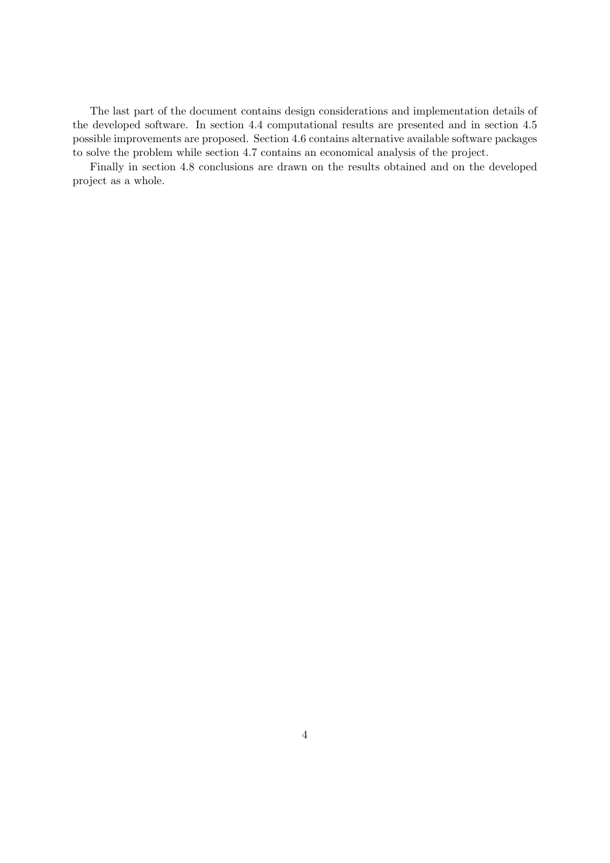The last part of the document contains design considerations and implementation details of the developed software. In section 4.4 computational results are presented and in section 4.5 possible improvements are proposed. Section 4.6 contains alternative available software packages to solve the problem while section 4.7 contains an economical analysis of the project.

Finally in section 4.8 conclusions are drawn on the results obtained and on the developed project as a whole.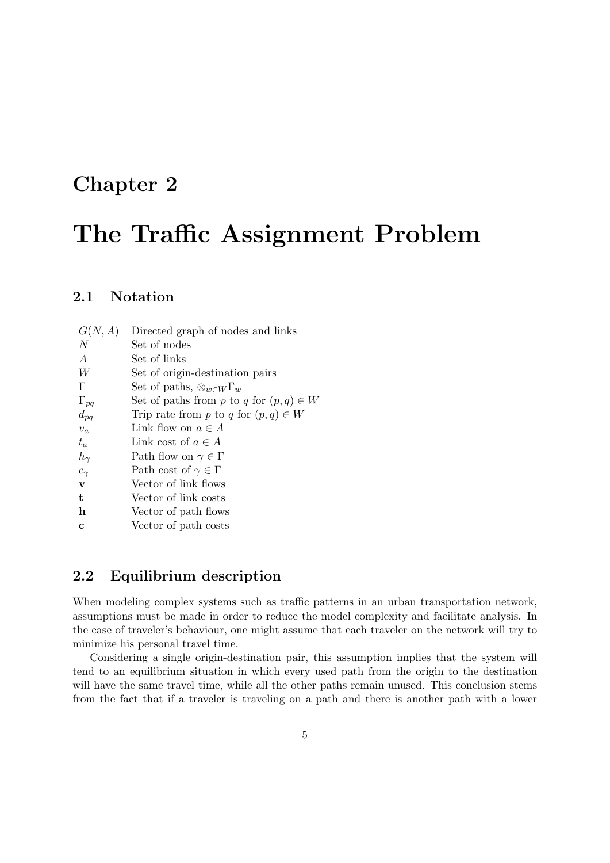### Chapter 2

# The Traffic Assignment Problem

#### 2.1 Notation

| G(N, A)          | Directed graph of nodes and links          |
|------------------|--------------------------------------------|
| N                | Set of nodes                               |
| $\boldsymbol{A}$ | Set of links                               |
| W                | Set of origin-destination pairs            |
| $\Gamma$         | Set of paths, $\otimes_{w \in W} \Gamma_w$ |
| $\Gamma_{pq}$    | Set of paths from p to q for $(p,q) \in W$ |
| $d_{pq}$         | Trip rate from p to q for $(p,q) \in W$    |
| $v_a$            | Link flow on $a \in A$                     |
| $t_a$            | Link cost of $a \in A$                     |
| $h_{\gamma}$     | Path flow on $\gamma \in \Gamma$           |
| $c_{\gamma}$     | Path cost of $\gamma \in \Gamma$           |
| $\mathbf{v}$     | Vector of link flows                       |
| t                | Vector of link costs                       |
| h                | Vector of path flows                       |
| $\mathbf c$      | Vector of path costs                       |
|                  |                                            |

#### 2.2 Equilibrium description

When modeling complex systems such as traffic patterns in an urban transportation network, assumptions must be made in order to reduce the model complexity and facilitate analysis. In the case of traveler's behaviour, one might assume that each traveler on the network will try to minimize his personal travel time.

Considering a single origin-destination pair, this assumption implies that the system will tend to an equilibrium situation in which every used path from the origin to the destination will have the same travel time, while all the other paths remain unused. This conclusion stems from the fact that if a traveler is traveling on a path and there is another path with a lower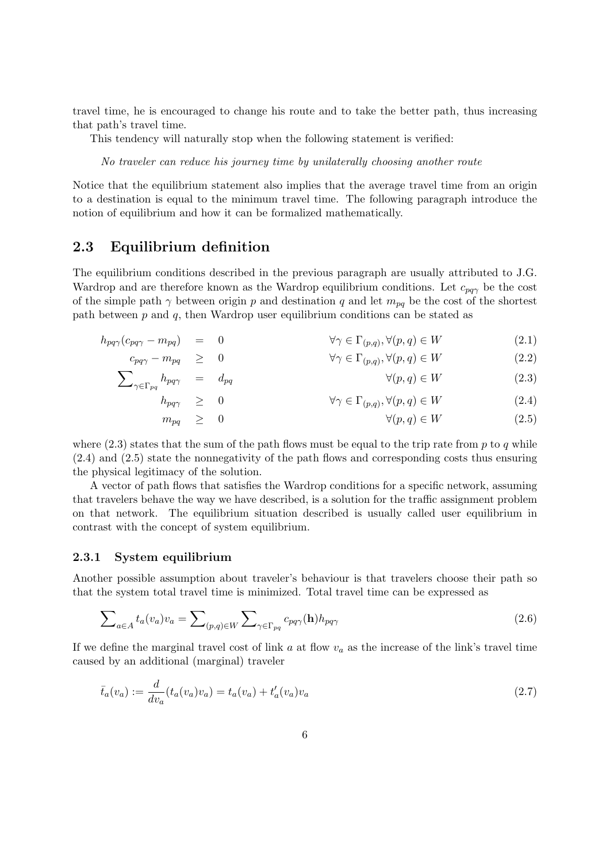travel time, he is encouraged to change his route and to take the better path, thus increasing that path's travel time.

This tendency will naturally stop when the following statement is verified:

No traveler can reduce his journey time by unilaterally choosing another route

Notice that the equilibrium statement also implies that the average travel time from an origin to a destination is equal to the minimum travel time. The following paragraph introduce the notion of equilibrium and how it can be formalized mathematically.

#### 2.3 Equilibrium definition

The equilibrium conditions described in the previous paragraph are usually attributed to J.G. Wardrop and are therefore known as the Wardrop equilibrium conditions. Let  $c_{\text{max}}$  be the cost of the simple path  $\gamma$  between origin p and destination q and let  $m_{pq}$  be the cost of the shortest path between  $p$  and  $q$ , then Wardrop user equilibrium conditions can be stated as

$$
h_{pq\gamma}(c_{pq\gamma} - m_{pq}) = 0 \qquad \forall \gamma \in \Gamma_{(p,q)}, \forall (p,q) \in W \tag{2.1}
$$

$$
c_{pq\gamma} - m_{pq} \geq 0 \qquad \qquad \forall \gamma \in \Gamma_{(p,q)}, \forall (p,q) \in W \tag{2.2}
$$

$$
\sum_{\gamma \in \Gamma_{pq}} h_{pq\gamma} = d_{pq} \qquad \qquad \forall (p, q) \in W \tag{2.3}
$$

$$
h_{pq\gamma} \geq 0 \qquad \forall \gamma \in \Gamma_{(p,q)}, \forall (p,q) \in W \tag{2.4}
$$

$$
m_{pq} \geq 0 \qquad \qquad \forall (p,q) \in W \tag{2.5}
$$

where  $(2.3)$  states that the sum of the path flows must be equal to the trip rate from p to q while (2.4) and (2.5) state the nonnegativity of the path flows and corresponding costs thus ensuring the physical legitimacy of the solution.

A vector of path flows that satisfies the Wardrop conditions for a specific network, assuming that travelers behave the way we have described, is a solution for the traffic assignment problem on that network. The equilibrium situation described is usually called user equilibrium in contrast with the concept of system equilibrium.

#### 2.3.1 System equilibrium

Another possible assumption about traveler's behaviour is that travelers choose their path so that the system total travel time is minimized. Total travel time can be expressed as

$$
\sum_{a \in A} t_a(v_a)v_a = \sum_{(p,q) \in W} \sum_{\gamma \in \Gamma_{pq}} c_{pq\gamma}(\mathbf{h}) h_{pq\gamma}
$$
\n(2.6)

If we define the marginal travel cost of link  $a$  at flow  $v_a$  as the increase of the link's travel time caused by an additional (marginal) traveler

$$
\bar{t}_a(v_a) := \frac{d}{dv_a}(t_a(v_a)v_a) = t_a(v_a) + t'_a(v_a)v_a \tag{2.7}
$$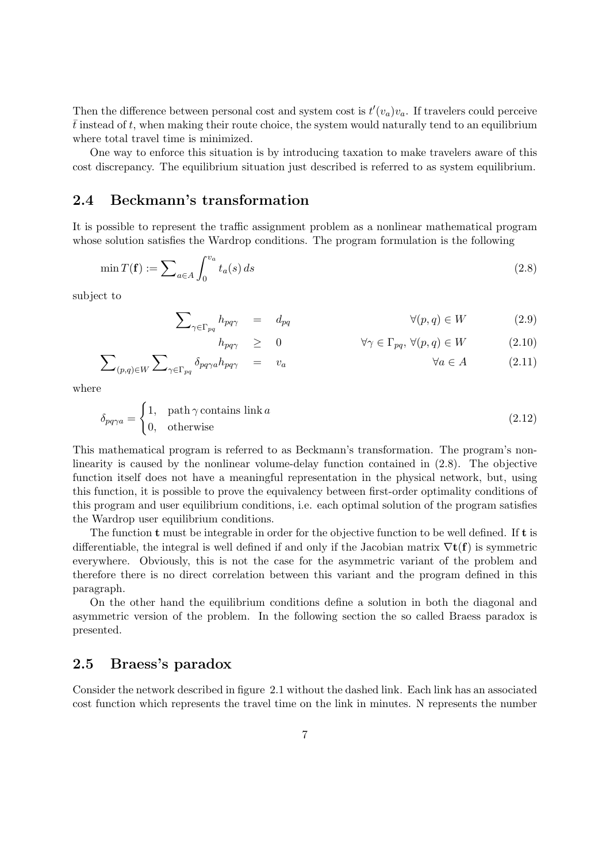Then the difference between personal cost and system cost is  $t'(v_a)v_a$ . If travelers could perceive  $\bar{t}$  instead of t, when making their route choice, the system would naturally tend to an equilibrium where total travel time is minimized.

One way to enforce this situation is by introducing taxation to make travelers aware of this cost discrepancy. The equilibrium situation just described is referred to as system equilibrium.

#### 2.4 Beckmann's transformation

It is possible to represent the traffic assignment problem as a nonlinear mathematical program whose solution satisfies the Wardrop conditions. The program formulation is the following

$$
\min T(\mathbf{f}) := \sum_{a \in A} \int_0^{v_a} t_a(s) \, ds \tag{2.8}
$$

subject to

$$
\sum_{\gamma \in \Gamma_{pq}} h_{pq\gamma} = d_{pq} \qquad \qquad \forall (p, q) \in W \qquad (2.9)
$$

$$
h_{pq\gamma} \geq 0 \qquad \forall \gamma \in \Gamma_{pq}, \forall (p,q) \in W \qquad (2.10)
$$

$$
\sum_{(p,q)\in W} \sum_{\gamma \in \Gamma_{pq}} \delta_{pq\gamma a} h_{pq\gamma} = v_a \qquad \forall a \in A \qquad (2.11)
$$

where

$$
\delta_{pq\gamma a} = \begin{cases} 1, & \text{path } \gamma \text{ contains link } a \\ 0, & \text{otherwise} \end{cases}
$$
 (2.12)

This mathematical program is referred to as Beckmann's transformation. The program's nonlinearity is caused by the nonlinear volume-delay function contained in (2.8). The objective function itself does not have a meaningful representation in the physical network, but, using this function, it is possible to prove the equivalency between first-order optimality conditions of this program and user equilibrium conditions, i.e. each optimal solution of the program satisfies the Wardrop user equilibrium conditions.

The function  $t$  must be integrable in order for the objective function to be well defined. If  $t$  is differentiable, the integral is well defined if and only if the Jacobian matrix  $\nabla$ **t**(**f**) is symmetric everywhere. Obviously, this is not the case for the asymmetric variant of the problem and therefore there is no direct correlation between this variant and the program defined in this paragraph.

On the other hand the equilibrium conditions define a solution in both the diagonal and asymmetric version of the problem. In the following section the so called Braess paradox is presented.

#### 2.5 Braess's paradox

Consider the network described in figure 2.1 without the dashed link. Each link has an associated cost function which represents the travel time on the link in minutes. N represents the number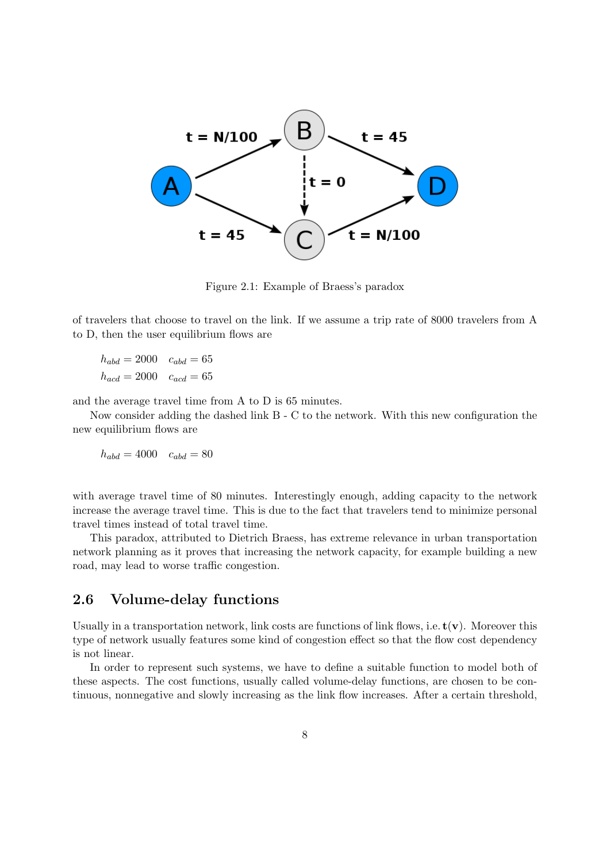

Figure 2.1: Example of Braess's paradox

of travelers that choose to travel on the link. If we assume a trip rate of 8000 travelers from A to D, then the user equilibrium flows are

 $h_{abd} = 2000 \quad c_{abd} = 65$  $h_{acd} = 2000 \quad c_{acd} = 65$ 

and the average travel time from A to D is 65 minutes.

Now consider adding the dashed link B - C to the network. With this new configuration the new equilibrium flows are

 $h_{abd} = 4000$   $c_{abd} = 80$ 

with average travel time of 80 minutes. Interestingly enough, adding capacity to the network increase the average travel time. This is due to the fact that travelers tend to minimize personal travel times instead of total travel time.

This paradox, attributed to Dietrich Braess, has extreme relevance in urban transportation network planning as it proves that increasing the network capacity, for example building a new road, may lead to worse traffic congestion.

#### 2.6 Volume-delay functions

Usually in a transportation network, link costs are functions of link flows, i.e.  $t(v)$ . Moreover this type of network usually features some kind of congestion effect so that the flow cost dependency is not linear.

In order to represent such systems, we have to define a suitable function to model both of these aspects. The cost functions, usually called volume-delay functions, are chosen to be continuous, nonnegative and slowly increasing as the link flow increases. After a certain threshold,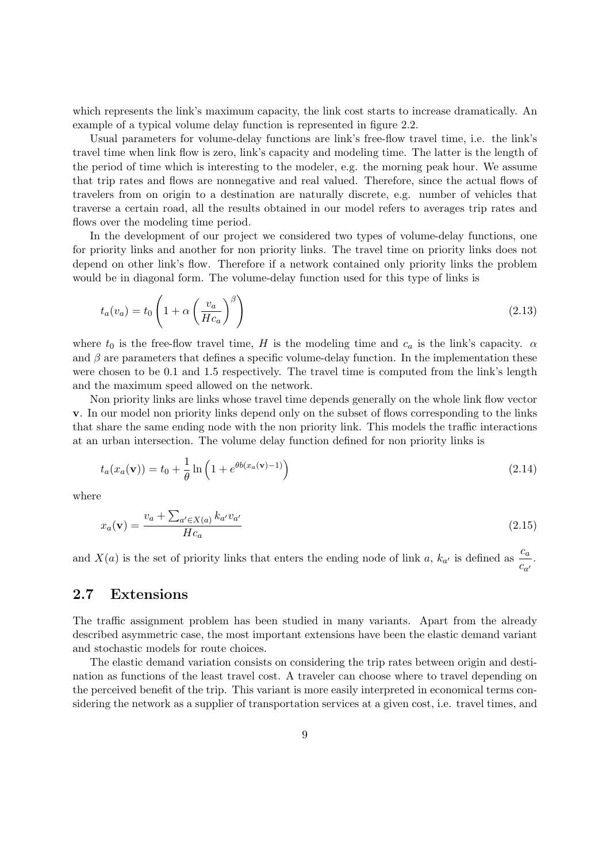which represents the link's maximum capacity, the link cost starts to increase dramatically. An example of a typical volume delay function is represented in figure 2.2.

Usual parameters for volume-delay functions are link's free-flow travel time, i.e. the link's travel time when link flow is zero, link's capacity and modeling time. The latter is the length of the period of time which is interesting to the modeler, e.g. the morning peak hour. We assume that trip rates and flows are nonnegative and real valued. Therefore, since the actual flows of travelers from on origin to a destination are naturally discrete, e.g. number of vehicles that traverse a certain road, all the results obtained in our model refers to averages trip rates and flows over the modeling time period.

In the development of our project we considered two types of volume-delay functions, one for priority links and another for non priority links. The travel time on priority links does not depend on other link's flow. Therefore if a network contained only priority links the problem would be in diagonal form. The volume-delay function used for this type of links is

$$
t_a(v_a) = t_0 \left( 1 + \alpha \left( \frac{v_a}{Hc_a} \right)^{\beta} \right)
$$
\n(2.13)

where  $t_0$  is the free-flow travel time, H is the modeling time and  $c_a$  is the link's capacity.  $\alpha$ and  $\beta$  are parameters that defines a specific volume-delay function. In the implementation these were chosen to be 0.1 and 1.5 respectively. The travel time is computed from the link's length and the maximum speed allowed on the network.

Non priority links are links whose travel time depends generally on the whole link flow vector v. In our model non priority links depend only on the subset of flows corresponding to the links that share the same ending node with the non priority link. This models the traffic interactions at an urban intersection. The volume delay function defined for non priority links is

$$
t_a(x_a(\mathbf{v})) = t_0 + \frac{1}{\theta} \ln \left( 1 + e^{\theta b(x_a(\mathbf{v}) - 1)} \right)
$$
\n(2.14)

where

$$
x_a(\mathbf{v}) = \frac{v_a + \sum_{a' \in X(a)} k_{a'} v_{a'}}{Hc_a}
$$
\n
$$
(2.15)
$$

and  $X(a)$  is the set of priority links that enters the ending node of link a,  $k_{a'}$  is defined as  $\frac{c_a}{a}$  $\frac{c_a}{c_{a'}}$ .

#### 2.7 Extensions

The traffic assignment problem has been studied in many variants. Apart from the already described asymmetric case, the most important extensions have been the elastic demand variant and stochastic models for route choices.

The elastic demand variation consists on considering the trip rates between origin and destination as functions of the least travel cost. A traveler can choose where to travel depending on the perceived benefit of the trip. This variant is more easily interpreted in economical terms considering the network as a supplier of transportation services at a given cost, i.e. travel times, and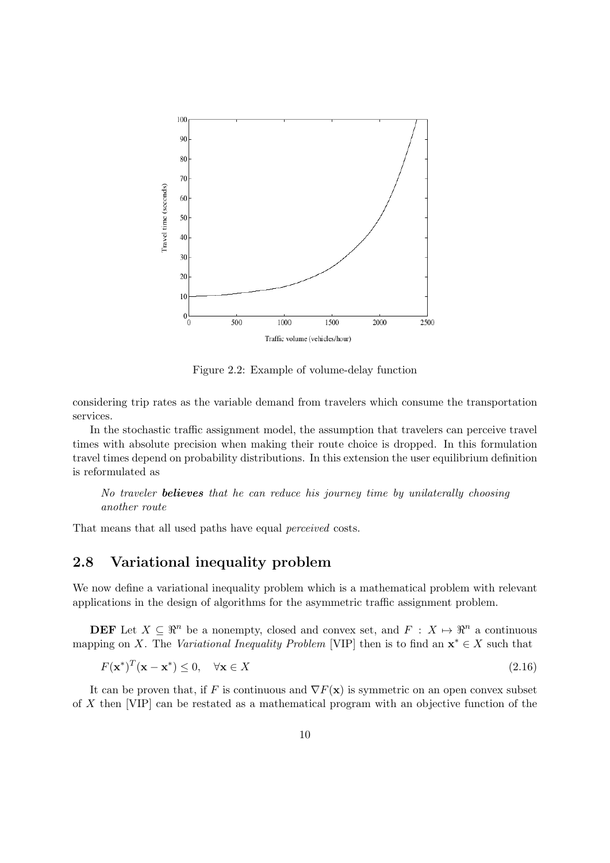

Figure 2.2: Example of volume-delay function

considering trip rates as the variable demand from travelers which consume the transportation services.

In the stochastic traffic assignment model, the assumption that travelers can perceive travel times with absolute precision when making their route choice is dropped. In this formulation travel times depend on probability distributions. In this extension the user equilibrium definition is reformulated as

No traveler **believes** that he can reduce his journey time by unilaterally choosing another route

That means that all used paths have equal perceived costs.

#### 2.8 Variational inequality problem

We now define a variational inequality problem which is a mathematical problem with relevant applications in the design of algorithms for the asymmetric traffic assignment problem.

**DEF** Let  $X \subseteq \mathbb{R}^n$  be a nonempty, closed and convex set, and  $F : X \mapsto \mathbb{R}^n$  a continuous mapping on X. The Variational Inequality Problem [VIP] then is to find an  $\mathbf{x}^* \in X$  such that

$$
F(\mathbf{x}^*)^T(\mathbf{x} - \mathbf{x}^*) \le 0, \quad \forall \mathbf{x} \in X
$$
\n(2.16)

It can be proven that, if F is continuous and  $\nabla F(\mathbf{x})$  is symmetric on an open convex subset of X then [VIP] can be restated as a mathematical program with an objective function of the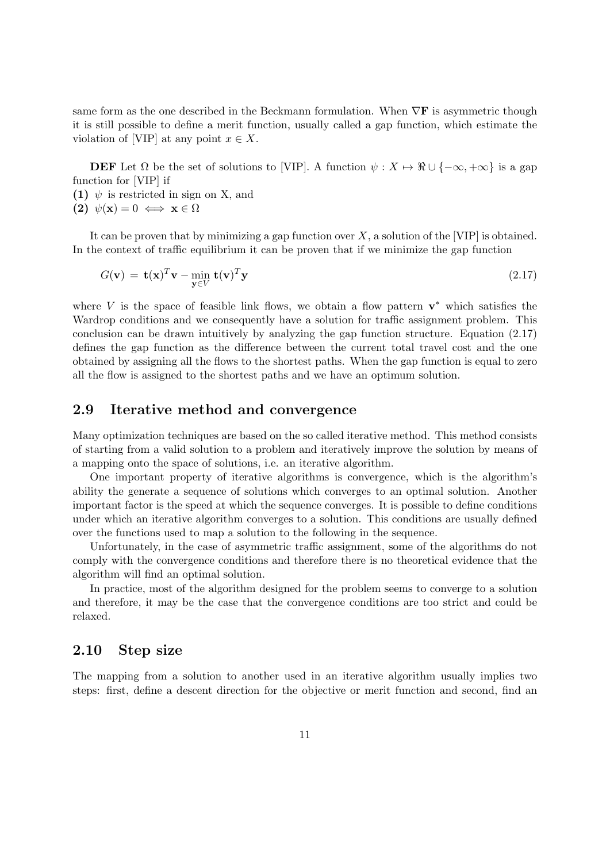same form as the one described in the Beckmann formulation. When  $\nabla$ **F** is asymmetric though it is still possible to define a merit function, usually called a gap function, which estimate the violation of [VIP] at any point  $x \in X$ .

**DEF** Let  $\Omega$  be the set of solutions to [VIP]. A function  $\psi : X \to \mathbb{R} \cup \{-\infty, +\infty\}$  is a gap function for [VIP] if

(1)  $\psi$  is restricted in sign on X, and

(2)  $\psi(\mathbf{x}) = 0 \iff \mathbf{x} \in \Omega$ 

It can be proven that by minimizing a gap function over  $X$ , a solution of the [VIP] is obtained. In the context of traffic equilibrium it can be proven that if we minimize the gap function

$$
G(\mathbf{v}) = \mathbf{t}(\mathbf{x})^T \mathbf{v} - \min_{\mathbf{y} \in V} \mathbf{t}(\mathbf{v})^T \mathbf{y}
$$
\n(2.17)

where V is the space of feasible link flows, we obtain a flow pattern  $\mathbf{v}^*$  which satisfies the Wardrop conditions and we consequently have a solution for traffic assignment problem. This conclusion can be drawn intuitively by analyzing the gap function structure. Equation (2.17) defines the gap function as the difference between the current total travel cost and the one obtained by assigning all the flows to the shortest paths. When the gap function is equal to zero all the flow is assigned to the shortest paths and we have an optimum solution.

#### 2.9 Iterative method and convergence

Many optimization techniques are based on the so called iterative method. This method consists of starting from a valid solution to a problem and iteratively improve the solution by means of a mapping onto the space of solutions, i.e. an iterative algorithm.

One important property of iterative algorithms is convergence, which is the algorithm's ability the generate a sequence of solutions which converges to an optimal solution. Another important factor is the speed at which the sequence converges. It is possible to define conditions under which an iterative algorithm converges to a solution. This conditions are usually defined over the functions used to map a solution to the following in the sequence.

Unfortunately, in the case of asymmetric traffic assignment, some of the algorithms do not comply with the convergence conditions and therefore there is no theoretical evidence that the algorithm will find an optimal solution.

In practice, most of the algorithm designed for the problem seems to converge to a solution and therefore, it may be the case that the convergence conditions are too strict and could be relaxed.

#### 2.10 Step size

The mapping from a solution to another used in an iterative algorithm usually implies two steps: first, define a descent direction for the objective or merit function and second, find an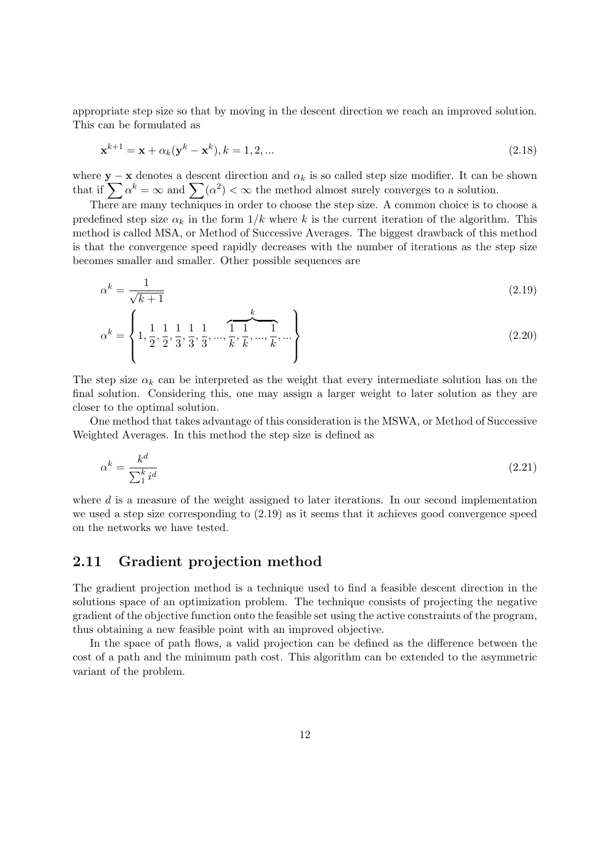appropriate step size so that by moving in the descent direction we reach an improved solution. This can be formulated as

$$
\mathbf{x}^{k+1} = \mathbf{x} + \alpha_k (\mathbf{y}^k - \mathbf{x}^k), k = 1, 2, \dots
$$
\n(2.18)

where  $y - x$  denotes a descent direction and  $\alpha_k$  is so called step size modifier. It can be shown that if  $\sum_{i} \alpha^{k} = \infty$  and  $\sum_{i} (\alpha^{2}) < \infty$  the method almost surely converges to a solution.

There are many techniques in order to choose the step size. A common choice is to choose a predefined step size  $\alpha_k$  in the form  $1/k$  where k is the current iteration of the algorithm. This method is called MSA, or Method of Successive Averages. The biggest drawback of this method is that the convergence speed rapidly decreases with the number of iterations as the step size becomes smaller and smaller. Other possible sequences are

$$
\alpha^k = \frac{1}{\sqrt{k+1}}\tag{2.19}
$$

$$
\alpha^{k} = \left\{ 1, \frac{1}{2}, \frac{1}{2}, \frac{1}{3}, \frac{1}{3}, \frac{1}{3}, \dots, \widehat{\frac{1}{k}}, \frac{1}{k}, \dots, \widehat{\frac{1}{k}}, \dots \right\}
$$
\n(2.20)

The step size  $\alpha_k$  can be interpreted as the weight that every intermediate solution has on the final solution. Considering this, one may assign a larger weight to later solution as they are closer to the optimal solution.

One method that takes advantage of this consideration is the MSWA, or Method of Successive Weighted Averages. In this method the step size is defined as

$$
\alpha^k = \frac{k^d}{\sum_1^k i^d} \tag{2.21}
$$

where  $d$  is a measure of the weight assigned to later iterations. In our second implementation we used a step size corresponding to (2.19) as it seems that it achieves good convergence speed on the networks we have tested.

#### 2.11 Gradient projection method

The gradient projection method is a technique used to find a feasible descent direction in the solutions space of an optimization problem. The technique consists of projecting the negative gradient of the objective function onto the feasible set using the active constraints of the program, thus obtaining a new feasible point with an improved objective.

In the space of path flows, a valid projection can be defined as the difference between the cost of a path and the minimum path cost. This algorithm can be extended to the asymmetric variant of the problem.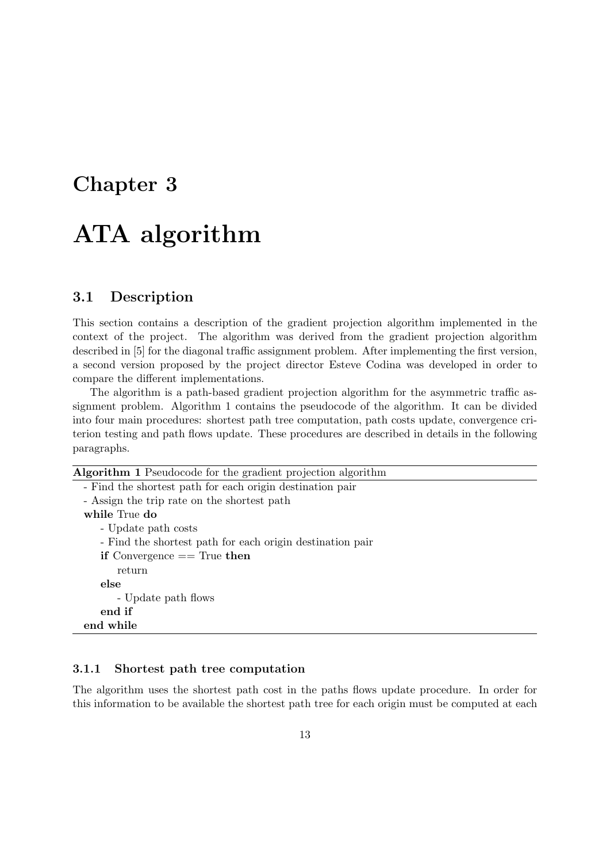### Chapter 3

## ATA algorithm

#### 3.1 Description

This section contains a description of the gradient projection algorithm implemented in the context of the project. The algorithm was derived from the gradient projection algorithm described in [5] for the diagonal traffic assignment problem. After implementing the first version, a second version proposed by the project director Esteve Codina was developed in order to compare the different implementations.

The algorithm is a path-based gradient projection algorithm for the asymmetric traffic assignment problem. Algorithm 1 contains the pseudocode of the algorithm. It can be divided into four main procedures: shortest path tree computation, path costs update, convergence criterion testing and path flows update. These procedures are described in details in the following paragraphs.

| <b>Algorithm 1</b> Pseudocode for the gradient projection algorithm |  |  |
|---------------------------------------------------------------------|--|--|
| - Find the shortest path for each origin destination pair           |  |  |
| - Assign the trip rate on the shortest path                         |  |  |
| while True do                                                       |  |  |
| - Update path costs                                                 |  |  |
| - Find the shortest path for each origin destination pair           |  |  |
| if Convergence $==$ True then                                       |  |  |
| return                                                              |  |  |
| else                                                                |  |  |
| - Update path flows                                                 |  |  |
| end if                                                              |  |  |
| end while                                                           |  |  |

#### 3.1.1 Shortest path tree computation

The algorithm uses the shortest path cost in the paths flows update procedure. In order for this information to be available the shortest path tree for each origin must be computed at each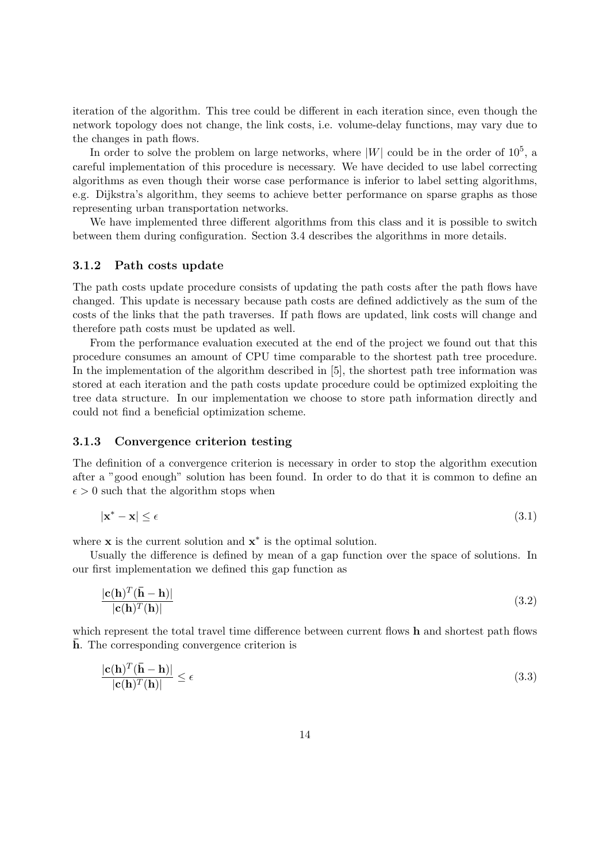iteration of the algorithm. This tree could be different in each iteration since, even though the network topology does not change, the link costs, i.e. volume-delay functions, may vary due to the changes in path flows.

In order to solve the problem on large networks, where  $|W|$  could be in the order of  $10^5$ , a careful implementation of this procedure is necessary. We have decided to use label correcting algorithms as even though their worse case performance is inferior to label setting algorithms, e.g. Dijkstra's algorithm, they seems to achieve better performance on sparse graphs as those representing urban transportation networks.

We have implemented three different algorithms from this class and it is possible to switch between them during configuration. Section 3.4 describes the algorithms in more details.

#### 3.1.2 Path costs update

The path costs update procedure consists of updating the path costs after the path flows have changed. This update is necessary because path costs are defined addictively as the sum of the costs of the links that the path traverses. If path flows are updated, link costs will change and therefore path costs must be updated as well.

From the performance evaluation executed at the end of the project we found out that this procedure consumes an amount of CPU time comparable to the shortest path tree procedure. In the implementation of the algorithm described in [5], the shortest path tree information was stored at each iteration and the path costs update procedure could be optimized exploiting the tree data structure. In our implementation we choose to store path information directly and could not find a beneficial optimization scheme.

#### 3.1.3 Convergence criterion testing

The definition of a convergence criterion is necessary in order to stop the algorithm execution after a "good enough" solution has been found. In order to do that it is common to define an  $\epsilon > 0$  such that the algorithm stops when

$$
|\mathbf{x}^* - \mathbf{x}| \le \epsilon \tag{3.1}
$$

where  $\mathbf x$  is the current solution and  $\mathbf x^*$  is the optimal solution.

Usually the difference is defined by mean of a gap function over the space of solutions. In our first implementation we defined this gap function as

$$
\frac{|\mathbf{c}(\mathbf{h})^T (\bar{\mathbf{h}} - \mathbf{h})|}{|\mathbf{c}(\mathbf{h})^T (\mathbf{h})|}
$$
(3.2)

which represent the total travel time difference between current flows h and shortest path flows  $\bar{h}$ . The corresponding convergence criterion is

$$
\frac{|\mathbf{c}(\mathbf{h})^T(\bar{\mathbf{h}} - \mathbf{h})|}{|\mathbf{c}(\mathbf{h})^T(\mathbf{h})|} \le \epsilon
$$
\n(3.3)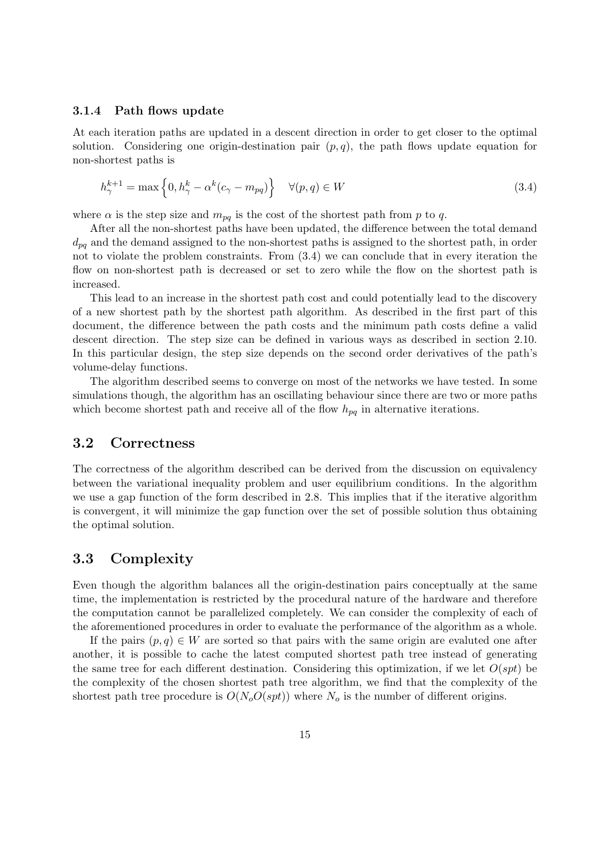#### 3.1.4 Path flows update

At each iteration paths are updated in a descent direction in order to get closer to the optimal solution. Considering one origin-destination pair  $(p, q)$ , the path flows update equation for non-shortest paths is

$$
h_{\gamma}^{k+1} = \max\left\{0, h_{\gamma}^k - \alpha^k (c_{\gamma} - m_{pq})\right\} \quad \forall (p, q) \in W
$$
\n(3.4)

where  $\alpha$  is the step size and  $m_{pq}$  is the cost of the shortest path from p to q.

After all the non-shortest paths have been updated, the difference between the total demand  $d_{na}$  and the demand assigned to the non-shortest paths is assigned to the shortest path, in order not to violate the problem constraints. From (3.4) we can conclude that in every iteration the flow on non-shortest path is decreased or set to zero while the flow on the shortest path is increased.

This lead to an increase in the shortest path cost and could potentially lead to the discovery of a new shortest path by the shortest path algorithm. As described in the first part of this document, the difference between the path costs and the minimum path costs define a valid descent direction. The step size can be defined in various ways as described in section 2.10. In this particular design, the step size depends on the second order derivatives of the path's volume-delay functions.

The algorithm described seems to converge on most of the networks we have tested. In some simulations though, the algorithm has an oscillating behaviour since there are two or more paths which become shortest path and receive all of the flow  $h_{pq}$  in alternative iterations.

#### 3.2 Correctness

The correctness of the algorithm described can be derived from the discussion on equivalency between the variational inequality problem and user equilibrium conditions. In the algorithm we use a gap function of the form described in 2.8. This implies that if the iterative algorithm is convergent, it will minimize the gap function over the set of possible solution thus obtaining the optimal solution.

#### 3.3 Complexity

Even though the algorithm balances all the origin-destination pairs conceptually at the same time, the implementation is restricted by the procedural nature of the hardware and therefore the computation cannot be parallelized completely. We can consider the complexity of each of the aforementioned procedures in order to evaluate the performance of the algorithm as a whole.

If the pairs  $(p, q) \in W$  are sorted so that pairs with the same origin are evaluted one after another, it is possible to cache the latest computed shortest path tree instead of generating the same tree for each different destination. Considering this optimization, if we let  $O(spt)$  be the complexity of the chosen shortest path tree algorithm, we find that the complexity of the shortest path tree procedure is  $O(N_o O(spt))$  where  $N_o$  is the number of different origins.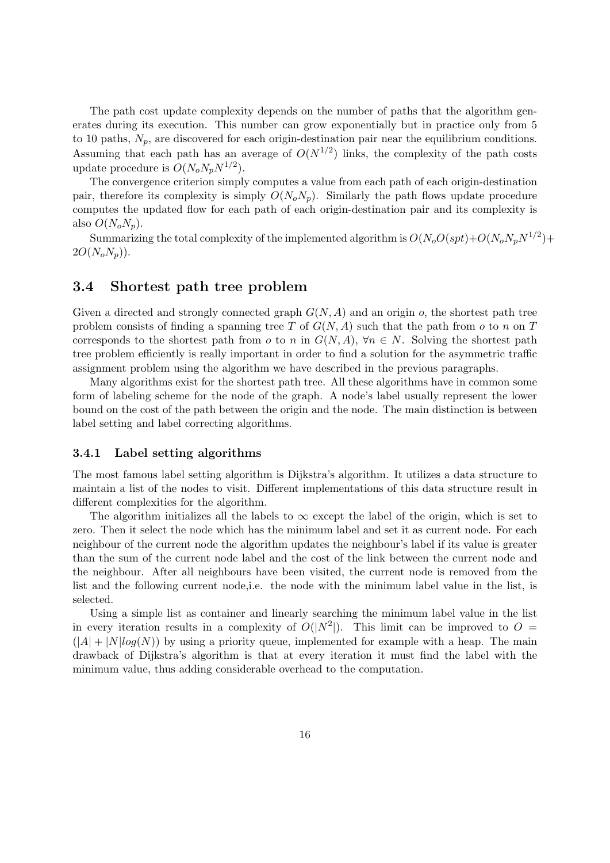The path cost update complexity depends on the number of paths that the algorithm generates during its execution. This number can grow exponentially but in practice only from 5 to 10 paths,  $N_p$ , are discovered for each origin-destination pair near the equilibrium conditions. Assuming that each path has an average of  $O(N^{1/2})$  links, the complexity of the path costs update procedure is  $O(N_o N_p N^{1/2})$ .

The convergence criterion simply computes a value from each path of each origin-destination pair, therefore its complexity is simply  $O(N_oN_p)$ . Similarly the path flows update procedure computes the updated flow for each path of each origin-destination pair and its complexity is also  $O(N_oN_p)$ .

Summarizing the total complexity of the implemented algorithm is  $O(N_oO(sp t) + O(N_oN_pN^{1/2}) +$  $2O(N_oN_p)).$ 

#### 3.4 Shortest path tree problem

Given a directed and strongly connected graph  $G(N, A)$  and an origin o, the shortest path tree problem consists of finding a spanning tree T of  $G(N, A)$  such that the path from o to n on T corresponds to the shortest path from o to n in  $G(N, A)$ ,  $\forall n \in N$ . Solving the shortest path tree problem efficiently is really important in order to find a solution for the asymmetric traffic assignment problem using the algorithm we have described in the previous paragraphs.

Many algorithms exist for the shortest path tree. All these algorithms have in common some form of labeling scheme for the node of the graph. A node's label usually represent the lower bound on the cost of the path between the origin and the node. The main distinction is between label setting and label correcting algorithms.

#### 3.4.1 Label setting algorithms

The most famous label setting algorithm is Dijkstra's algorithm. It utilizes a data structure to maintain a list of the nodes to visit. Different implementations of this data structure result in different complexities for the algorithm.

The algorithm initializes all the labels to  $\infty$  except the label of the origin, which is set to zero. Then it select the node which has the minimum label and set it as current node. For each neighbour of the current node the algorithm updates the neighbour's label if its value is greater than the sum of the current node label and the cost of the link between the current node and the neighbour. After all neighbours have been visited, the current node is removed from the list and the following current node,i.e. the node with the minimum label value in the list, is selected.

Using a simple list as container and linearly searching the minimum label value in the list in every iteration results in a complexity of  $O(|N^2|)$ . This limit can be improved to  $O =$  $(|A| + |N| \log(N))$  by using a priority queue, implemented for example with a heap. The main drawback of Dijkstra's algorithm is that at every iteration it must find the label with the minimum value, thus adding considerable overhead to the computation.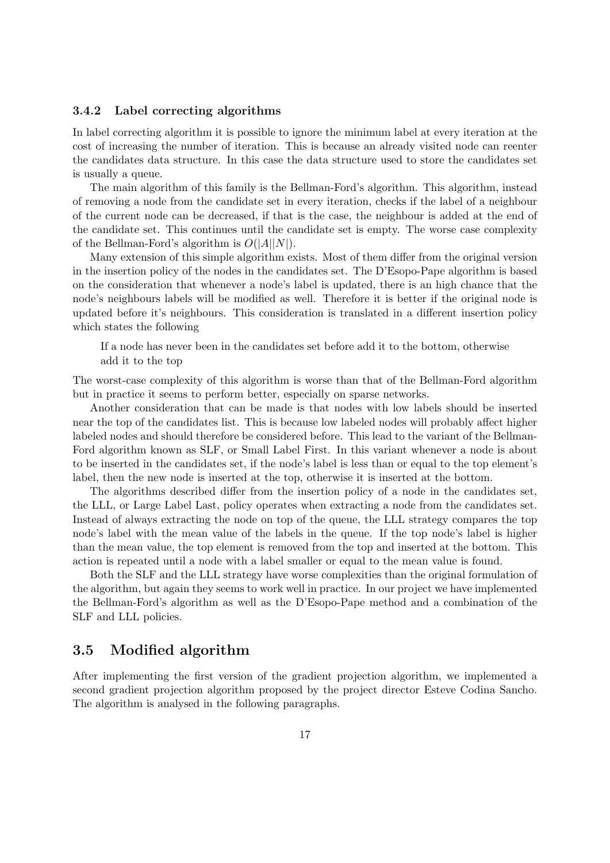#### 3.4.2 Label correcting algorithms

In label correcting algorithm it is possible to ignore the minimum label at every iteration at the cost of increasing the number of iteration. This is because an already visited node can reenter the candidates data structure. In this case the data structure used to store the candidates set is usually a queue.

The main algorithm of this family is the Bellman-Ford's algorithm. This algorithm, instead of removing a node from the candidate set in every iteration, checks if the label of a neighbour of the current node can be decreased, if that is the case, the neighbour is added at the end of the candidate set. This continues until the candidate set is empty. The worse case complexity of the Bellman-Ford's algorithm is  $O(|A||N|)$ .

Many extension of this simple algorithm exists. Most of them differ from the original version in the insertion policy of the nodes in the candidates set. The D'Esopo-Pape algorithm is based on the consideration that whenever a node's label is updated, there is an high chance that the node's neighbours labels will be modified as well. Therefore it is better if the original node is updated before it's neighbours. This consideration is translated in a different insertion policy which states the following

If a node has never been in the candidates set before add it to the bottom, otherwise add it to the top

The worst-case complexity of this algorithm is worse than that of the Bellman-Ford algorithm but in practice it seems to perform better, especially on sparse networks.

Another consideration that can be made is that nodes with low labels should be inserted near the top of the candidates list. This is because low labeled nodes will probably affect higher labeled nodes and should therefore be considered before. This lead to the variant of the Bellman-Ford algorithm known as SLF, or Small Label First. In this variant whenever a node is about to be inserted in the candidates set, if the node's label is less than or equal to the top element's label, then the new node is inserted at the top, otherwise it is inserted at the bottom.

The algorithms described differ from the insertion policy of a node in the candidates set, the LLL, or Large Label Last, policy operates when extracting a node from the candidates set. Instead of always extracting the node on top of the queue, the LLL strategy compares the top node's label with the mean value of the labels in the queue. If the top node's label is higher than the mean value, the top element is removed from the top and inserted at the bottom. This action is repeated until a node with a label smaller or equal to the mean value is found.

Both the SLF and the LLL strategy have worse complexities than the original formulation of the algorithm, but again they seems to work well in practice. In our project we have implemented the Bellman-Ford's algorithm as well as the D'Esopo-Pape method and a combination of the SLF and LLL policies.

#### 3.5 Modified algorithm

After implementing the first version of the gradient projection algorithm, we implemented a second gradient projection algorithm proposed by the project director Esteve Codina Sancho. The algorithm is analysed in the following paragraphs.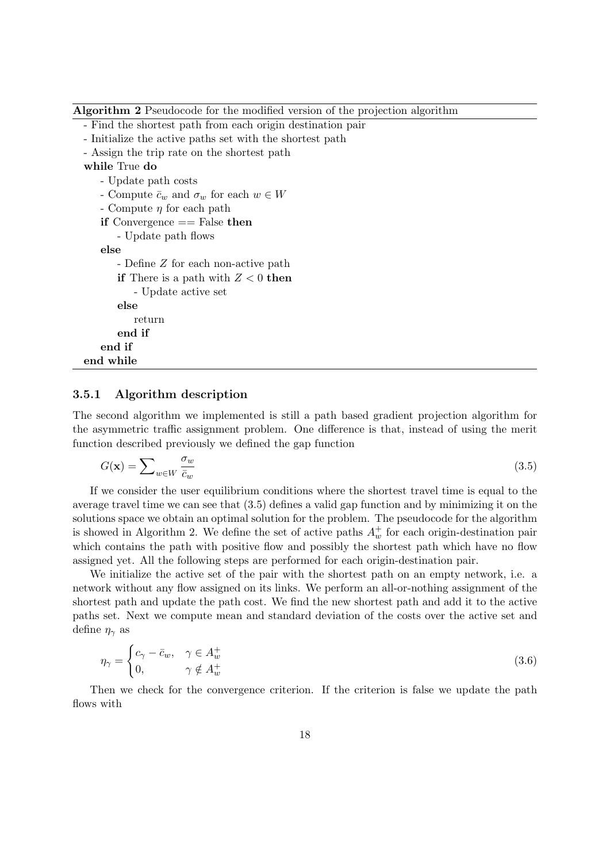Algorithm 2 Pseudocode for the modified version of the projection algorithm

- Find the shortest path from each origin destination pair
- Initialize the active paths set with the shortest path
- Assign the trip rate on the shortest path

#### while True do

```
- Update path costs
   - Compute \bar{c}_w and \sigma_w for each w \in W- Compute \eta for each path
   if Convergence == False then
      - Update path flows
   else
       - Define Z for each non-active path
      if There is a path with Z < 0 then
          - Update active set
      else
          return
       end if
   end if
end while
```
#### 3.5.1 Algorithm description

The second algorithm we implemented is still a path based gradient projection algorithm for the asymmetric traffic assignment problem. One difference is that, instead of using the merit function described previously we defined the gap function

$$
G(\mathbf{x}) = \sum_{w \in W} \frac{\sigma_w}{\bar{c}_w} \tag{3.5}
$$

If we consider the user equilibrium conditions where the shortest travel time is equal to the average travel time we can see that (3.5) defines a valid gap function and by minimizing it on the solutions space we obtain an optimal solution for the problem. The pseudocode for the algorithm is showed in Algorithm 2. We define the set of active paths  $A_w^+$  for each origin-destination pair which contains the path with positive flow and possibly the shortest path which have no flow assigned yet. All the following steps are performed for each origin-destination pair.

We initialize the active set of the pair with the shortest path on an empty network, i.e. a network without any flow assigned on its links. We perform an all-or-nothing assignment of the shortest path and update the path cost. We find the new shortest path and add it to the active paths set. Next we compute mean and standard deviation of the costs over the active set and define  $\eta_{\gamma}$  as

$$
\eta_{\gamma} = \begin{cases} c_{\gamma} - \bar{c}_w, & \gamma \in A_w^+ \\ 0, & \gamma \notin A_w^+ \end{cases} \tag{3.6}
$$

Then we check for the convergence criterion. If the criterion is false we update the path flows with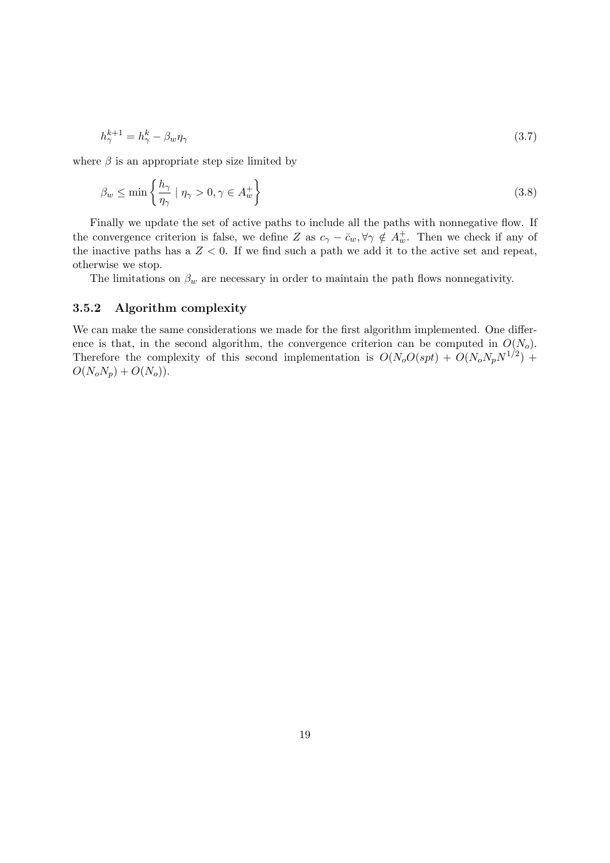$$
h_{\gamma}^{k+1} = h_{\gamma}^k - \beta_w \eta_{\gamma} \tag{3.7}
$$

where  $\beta$  is an appropriate step size limited by

$$
\beta_w \le \min\left\{\frac{h_\gamma}{\eta_\gamma} \mid \eta_\gamma > 0, \gamma \in A_w^+\right\} \tag{3.8}
$$

Finally we update the set of active paths to include all the paths with nonnegative flow. If the convergence criterion is false, we define Z as  $c_{\gamma} - \bar{c}_w, \forall \gamma \notin A_w^+$ . Then we check if any of the inactive paths has a  $Z < 0$ . If we find such a path we add it to the active set and repeat, otherwise we stop.

The limitations on  $\beta_w$  are necessary in order to maintain the path flows nonnegativity.

#### 3.5.2 Algorithm complexity

We can make the same considerations we made for the first algorithm implemented. One difference is that, in the second algorithm, the convergence criterion can be computed in  $O(N_o)$ . Therefore the complexity of this second implementation is  $O(N_o O(spt) + O(N_o N_p N^{1/2})$  +  $O(N_oN_p) + O(N_o)).$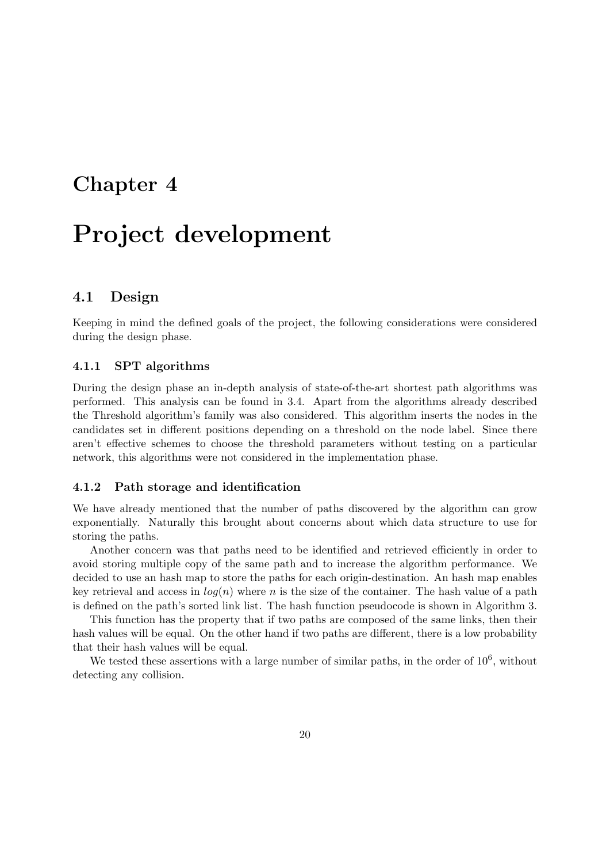### Chapter 4

## Project development

#### 4.1 Design

Keeping in mind the defined goals of the project, the following considerations were considered during the design phase.

#### 4.1.1 SPT algorithms

During the design phase an in-depth analysis of state-of-the-art shortest path algorithms was performed. This analysis can be found in 3.4. Apart from the algorithms already described the Threshold algorithm's family was also considered. This algorithm inserts the nodes in the candidates set in different positions depending on a threshold on the node label. Since there aren't effective schemes to choose the threshold parameters without testing on a particular network, this algorithms were not considered in the implementation phase.

#### 4.1.2 Path storage and identification

We have already mentioned that the number of paths discovered by the algorithm can grow exponentially. Naturally this brought about concerns about which data structure to use for storing the paths.

Another concern was that paths need to be identified and retrieved efficiently in order to avoid storing multiple copy of the same path and to increase the algorithm performance. We decided to use an hash map to store the paths for each origin-destination. An hash map enables key retrieval and access in  $log(n)$  where n is the size of the container. The hash value of a path is defined on the path's sorted link list. The hash function pseudocode is shown in Algorithm 3.

This function has the property that if two paths are composed of the same links, then their hash values will be equal. On the other hand if two paths are different, there is a low probability that their hash values will be equal.

We tested these assertions with a large number of similar paths, in the order of  $10^6$ , without detecting any collision.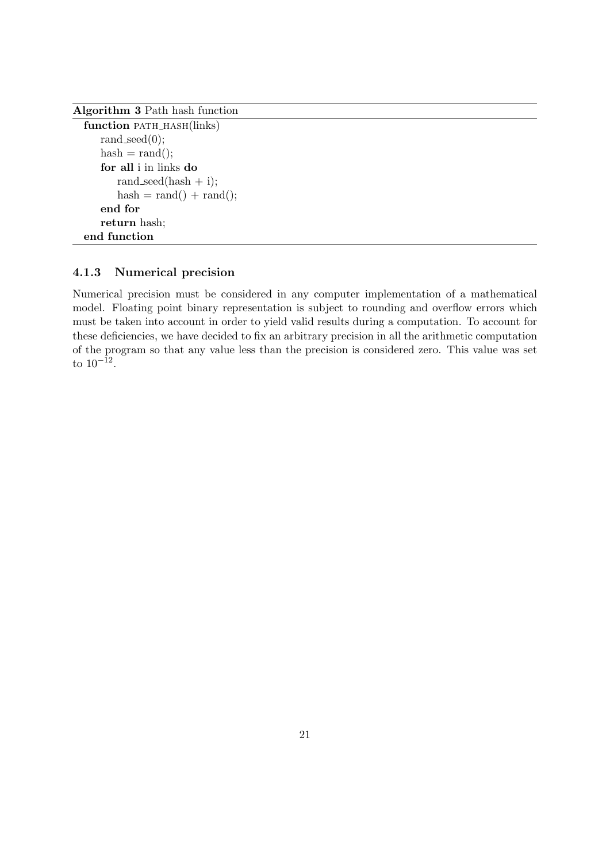Algorithm 3 Path hash function

#### 4.1.3 Numerical precision

Numerical precision must be considered in any computer implementation of a mathematical model. Floating point binary representation is subject to rounding and overflow errors which must be taken into account in order to yield valid results during a computation. To account for these deficiencies, we have decided to fix an arbitrary precision in all the arithmetic computation of the program so that any value less than the precision is considered zero. This value was set to  $10^{-12}$ .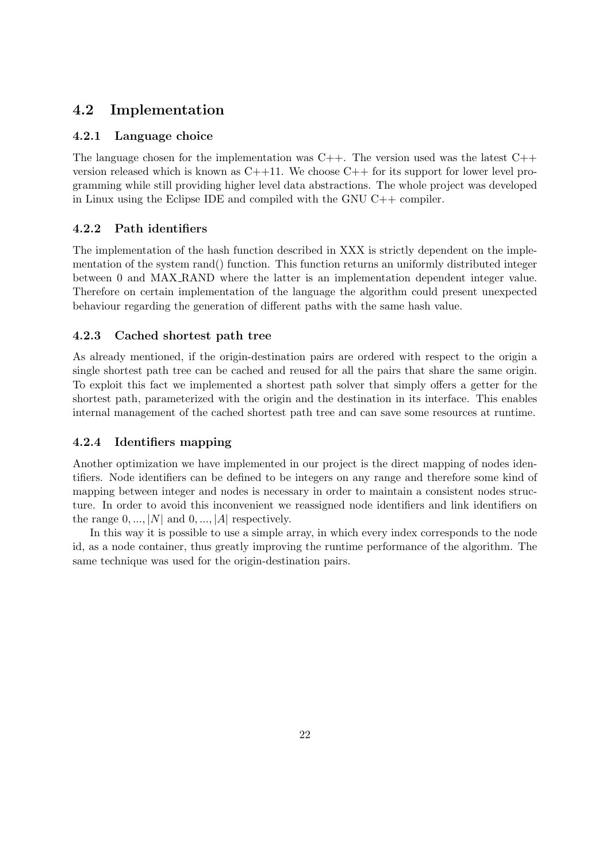#### 4.2 Implementation

#### 4.2.1 Language choice

The language chosen for the implementation was  $C_{++}$ . The version used was the latest  $C_{++}$ version released which is known as  $C++11$ . We choose  $C++$  for its support for lower level programming while still providing higher level data abstractions. The whole project was developed in Linux using the Eclipse IDE and compiled with the GNU C++ compiler.

#### 4.2.2 Path identifiers

The implementation of the hash function described in XXX is strictly dependent on the implementation of the system rand() function. This function returns an uniformly distributed integer between 0 and MAX RAND where the latter is an implementation dependent integer value. Therefore on certain implementation of the language the algorithm could present unexpected behaviour regarding the generation of different paths with the same hash value.

#### 4.2.3 Cached shortest path tree

As already mentioned, if the origin-destination pairs are ordered with respect to the origin a single shortest path tree can be cached and reused for all the pairs that share the same origin. To exploit this fact we implemented a shortest path solver that simply offers a getter for the shortest path, parameterized with the origin and the destination in its interface. This enables internal management of the cached shortest path tree and can save some resources at runtime.

#### 4.2.4 Identifiers mapping

Another optimization we have implemented in our project is the direct mapping of nodes identifiers. Node identifiers can be defined to be integers on any range and therefore some kind of mapping between integer and nodes is necessary in order to maintain a consistent nodes structure. In order to avoid this inconvenient we reassigned node identifiers and link identifiers on the range  $0, ..., |N|$  and  $0, ..., |A|$  respectively.

In this way it is possible to use a simple array, in which every index corresponds to the node id, as a node container, thus greatly improving the runtime performance of the algorithm. The same technique was used for the origin-destination pairs.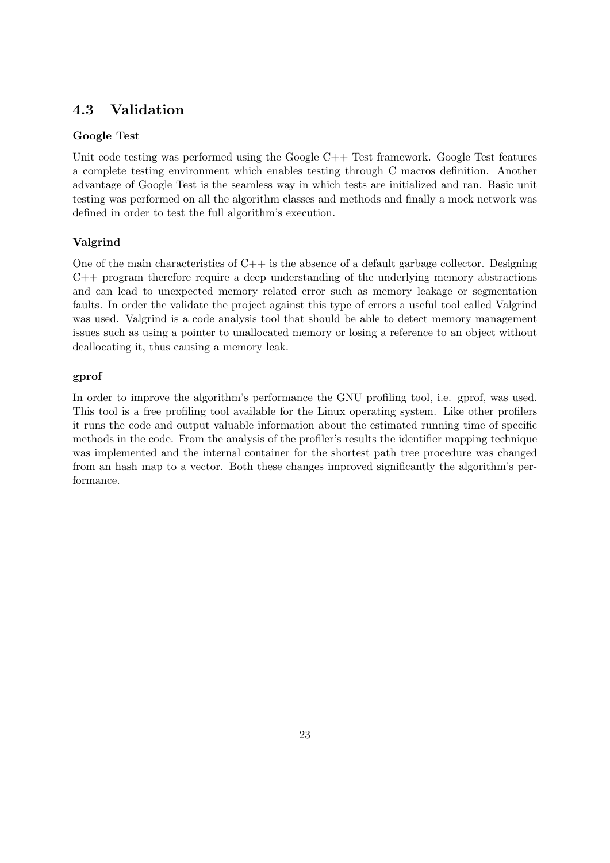#### 4.3 Validation

#### Google Test

Unit code testing was performed using the Google  $C++$  Test framework. Google Test features a complete testing environment which enables testing through C macros definition. Another advantage of Google Test is the seamless way in which tests are initialized and ran. Basic unit testing was performed on all the algorithm classes and methods and finally a mock network was defined in order to test the full algorithm's execution.

#### Valgrind

One of the main characteristics of  $C_{++}$  is the absence of a default garbage collector. Designing C++ program therefore require a deep understanding of the underlying memory abstractions and can lead to unexpected memory related error such as memory leakage or segmentation faults. In order the validate the project against this type of errors a useful tool called Valgrind was used. Valgrind is a code analysis tool that should be able to detect memory management issues such as using a pointer to unallocated memory or losing a reference to an object without deallocating it, thus causing a memory leak.

#### gprof

In order to improve the algorithm's performance the GNU profiling tool, i.e. gprof, was used. This tool is a free profiling tool available for the Linux operating system. Like other profilers it runs the code and output valuable information about the estimated running time of specific methods in the code. From the analysis of the profiler's results the identifier mapping technique was implemented and the internal container for the shortest path tree procedure was changed from an hash map to a vector. Both these changes improved significantly the algorithm's performance.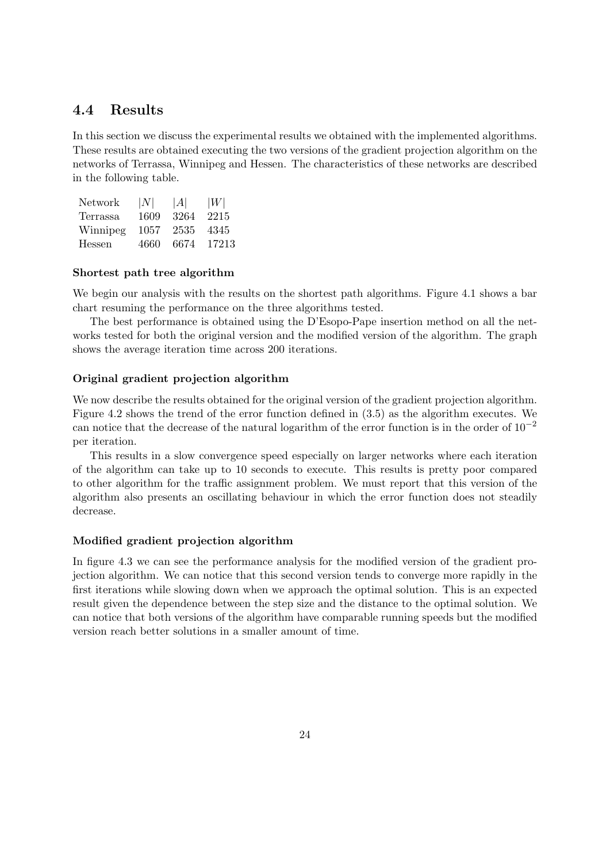#### 4.4 Results

In this section we discuss the experimental results we obtained with the implemented algorithms. These results are obtained executing the two versions of the gradient projection algorithm on the networks of Terrassa, Winnipeg and Hessen. The characteristics of these networks are described in the following table.

| Network  | N    | A    | W     |
|----------|------|------|-------|
| Terrassa | 1609 | 3264 | 2215  |
| Winnipeg | 1057 | 2535 | 4345  |
| Hessen   | 4660 | 6674 | 17213 |

#### Shortest path tree algorithm

We begin our analysis with the results on the shortest path algorithms. Figure 4.1 shows a bar chart resuming the performance on the three algorithms tested.

The best performance is obtained using the D'Esopo-Pape insertion method on all the networks tested for both the original version and the modified version of the algorithm. The graph shows the average iteration time across 200 iterations.

#### Original gradient projection algorithm

We now describe the results obtained for the original version of the gradient projection algorithm. Figure 4.2 shows the trend of the error function defined in (3.5) as the algorithm executes. We can notice that the decrease of the natural logarithm of the error function is in the order of  $10^{-2}$ per iteration.

This results in a slow convergence speed especially on larger networks where each iteration of the algorithm can take up to 10 seconds to execute. This results is pretty poor compared to other algorithm for the traffic assignment problem. We must report that this version of the algorithm also presents an oscillating behaviour in which the error function does not steadily decrease.

#### Modified gradient projection algorithm

In figure 4.3 we can see the performance analysis for the modified version of the gradient projection algorithm. We can notice that this second version tends to converge more rapidly in the first iterations while slowing down when we approach the optimal solution. This is an expected result given the dependence between the step size and the distance to the optimal solution. We can notice that both versions of the algorithm have comparable running speeds but the modified version reach better solutions in a smaller amount of time.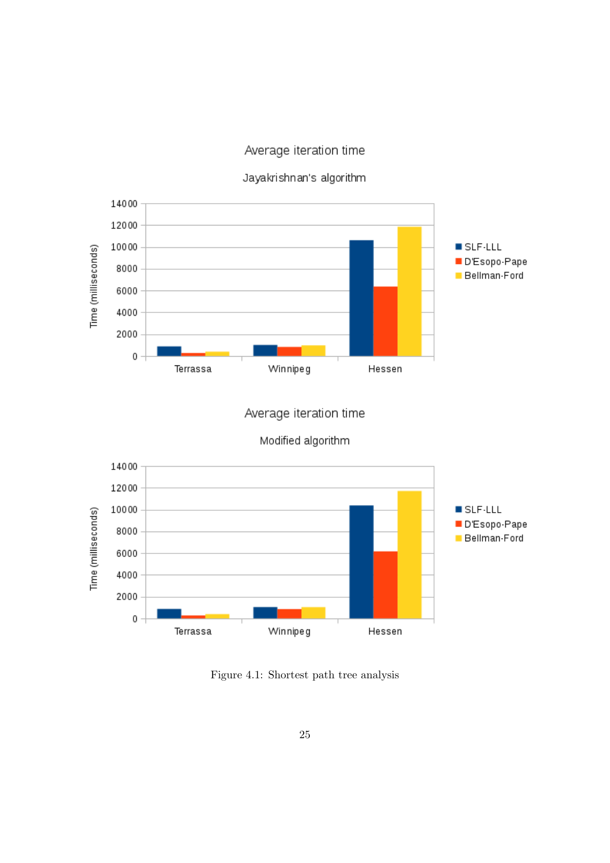#### Average iteration time





Average iteration time

Modified algorithm



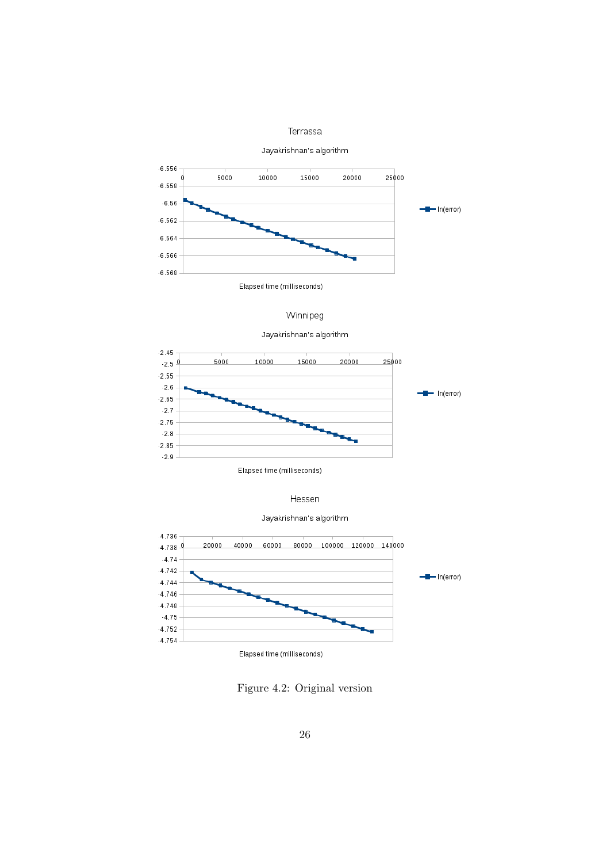#### Terrassa

Jayakrishnan's algorithm



Winnipeg Jayakrishnan's algorithm



Elapsed time (milliseconds)

Hessen





Figure 4.2: Original version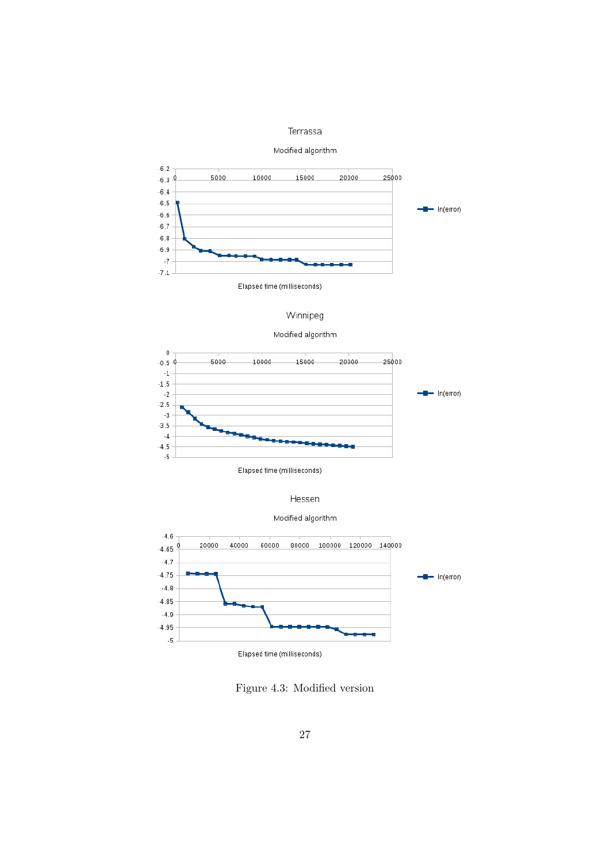#### Terrassa

#### Modified algorithm



#### Winnipeg

#### Modified algorithm



Elapsed time (milliseconds)

#### Hessen





Figure 4.3: Modified version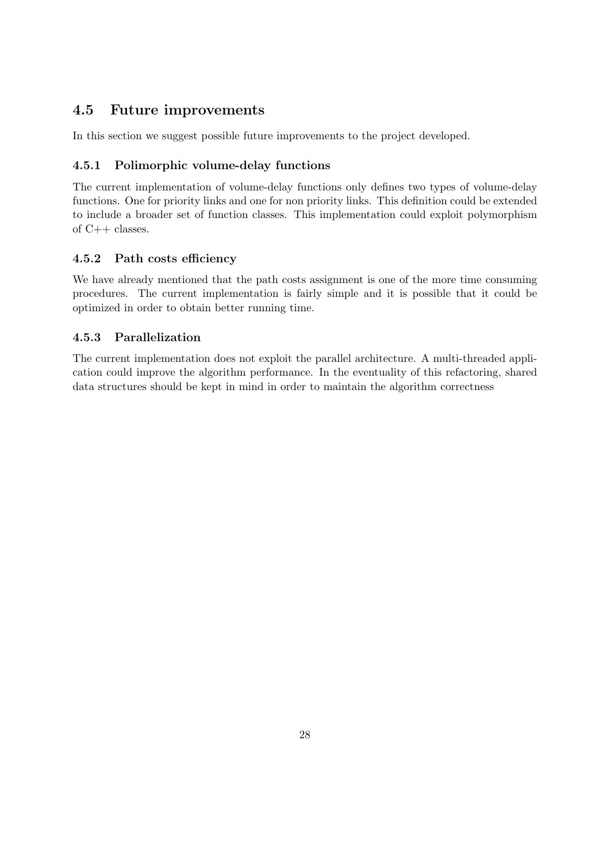#### 4.5 Future improvements

In this section we suggest possible future improvements to the project developed.

#### 4.5.1 Polimorphic volume-delay functions

The current implementation of volume-delay functions only defines two types of volume-delay functions. One for priority links and one for non priority links. This definition could be extended to include a broader set of function classes. This implementation could exploit polymorphism of C++ classes.

#### 4.5.2 Path costs efficiency

We have already mentioned that the path costs assignment is one of the more time consuming procedures. The current implementation is fairly simple and it is possible that it could be optimized in order to obtain better running time.

#### 4.5.3 Parallelization

The current implementation does not exploit the parallel architecture. A multi-threaded application could improve the algorithm performance. In the eventuality of this refactoring, shared data structures should be kept in mind in order to maintain the algorithm correctness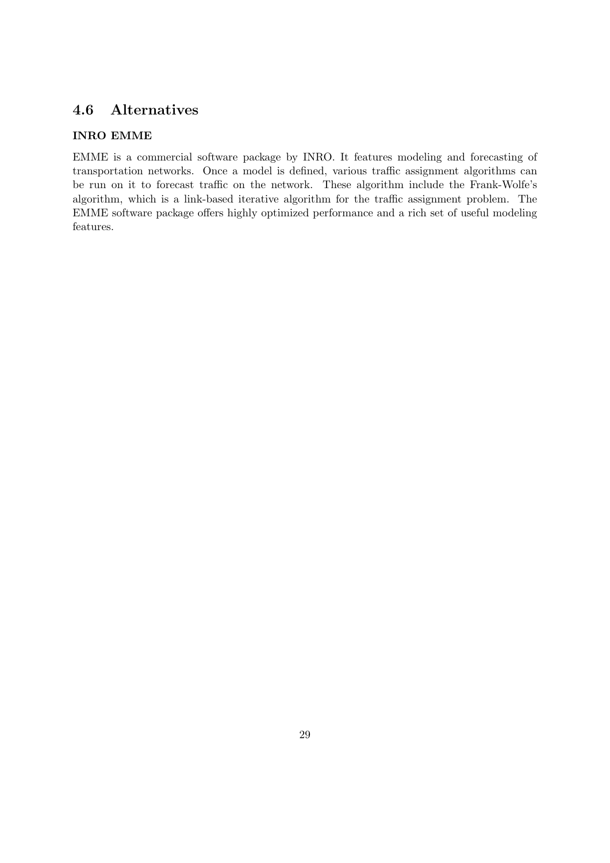#### 4.6 Alternatives

#### INRO EMME

EMME is a commercial software package by INRO. It features modeling and forecasting of transportation networks. Once a model is defined, various traffic assignment algorithms can be run on it to forecast traffic on the network. These algorithm include the Frank-Wolfe's algorithm, which is a link-based iterative algorithm for the traffic assignment problem. The EMME software package offers highly optimized performance and a rich set of useful modeling features.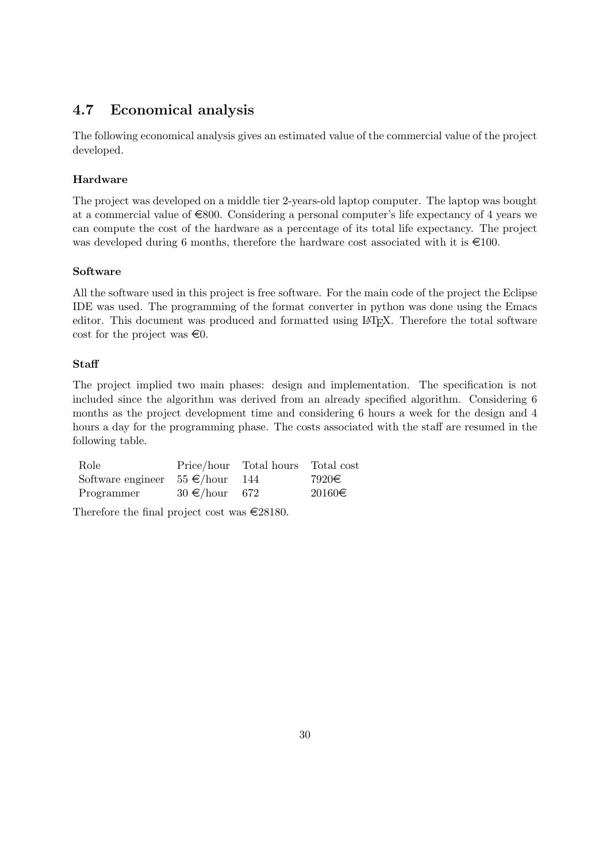#### 4.7 Economical analysis

The following economical analysis gives an estimated value of the commercial value of the project developed.

#### Hardware

The project was developed on a middle tier 2-years-old laptop computer. The laptop was bought at a commercial value of  $\epsilon$ 800. Considering a personal computer's life expectancy of 4 years we can compute the cost of the hardware as a percentage of its total life expectancy. The project was developed during 6 months, therefore the hardware cost associated with it is  $\epsilon$ 100.

#### Software

All the software used in this project is free software. For the main code of the project the Eclipse IDE was used. The programming of the format converter in python was done using the Emacs editor. This document was produced and formatted using LATEX. Therefore the total software cost for the project was  $\infty$ .

#### **Staff**

The project implied two main phases: design and implementation. The specification is not included since the algorithm was derived from an already specified algorithm. Considering 6 months as the project development time and considering 6 hours a week for the design and 4 hours a day for the programming phase. The costs associated with the staff are resumed in the following table.

| Role                                 |                    | Price/hour Total hours Total cost |            |
|--------------------------------------|--------------------|-----------------------------------|------------|
| Software engineer $55 \in$ /hour 144 |                    |                                   | 7920€      |
| Programmer                           | $30 \in$ /hour 672 |                                   | $20160\in$ |

Therefore the final project cost was  $\in$ 28180.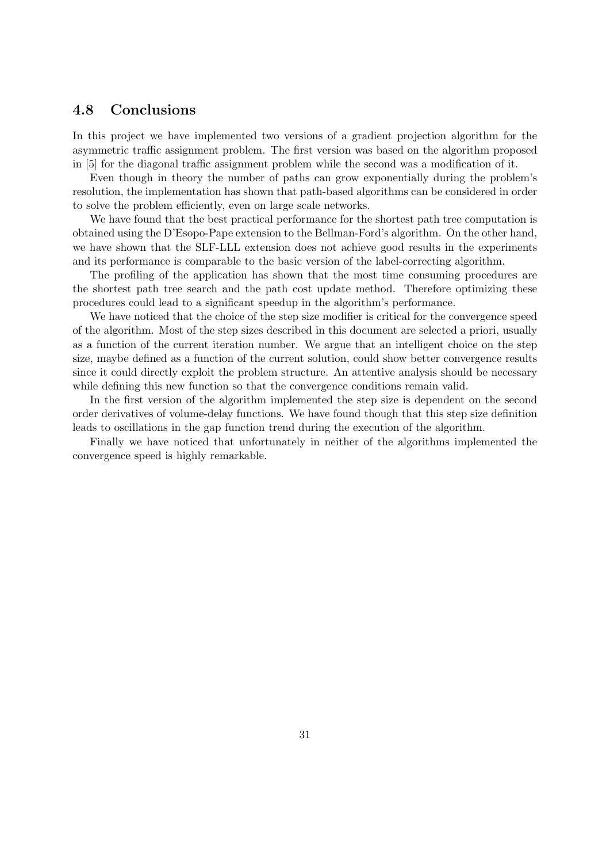#### 4.8 Conclusions

In this project we have implemented two versions of a gradient projection algorithm for the asymmetric traffic assignment problem. The first version was based on the algorithm proposed in [5] for the diagonal traffic assignment problem while the second was a modification of it.

Even though in theory the number of paths can grow exponentially during the problem's resolution, the implementation has shown that path-based algorithms can be considered in order to solve the problem efficiently, even on large scale networks.

We have found that the best practical performance for the shortest path tree computation is obtained using the D'Esopo-Pape extension to the Bellman-Ford's algorithm. On the other hand, we have shown that the SLF-LLL extension does not achieve good results in the experiments and its performance is comparable to the basic version of the label-correcting algorithm.

The profiling of the application has shown that the most time consuming procedures are the shortest path tree search and the path cost update method. Therefore optimizing these procedures could lead to a significant speedup in the algorithm's performance.

We have noticed that the choice of the step size modifier is critical for the convergence speed of the algorithm. Most of the step sizes described in this document are selected a priori, usually as a function of the current iteration number. We argue that an intelligent choice on the step size, maybe defined as a function of the current solution, could show better convergence results since it could directly exploit the problem structure. An attentive analysis should be necessary while defining this new function so that the convergence conditions remain valid.

In the first version of the algorithm implemented the step size is dependent on the second order derivatives of volume-delay functions. We have found though that this step size definition leads to oscillations in the gap function trend during the execution of the algorithm.

Finally we have noticed that unfortunately in neither of the algorithms implemented the convergence speed is highly remarkable.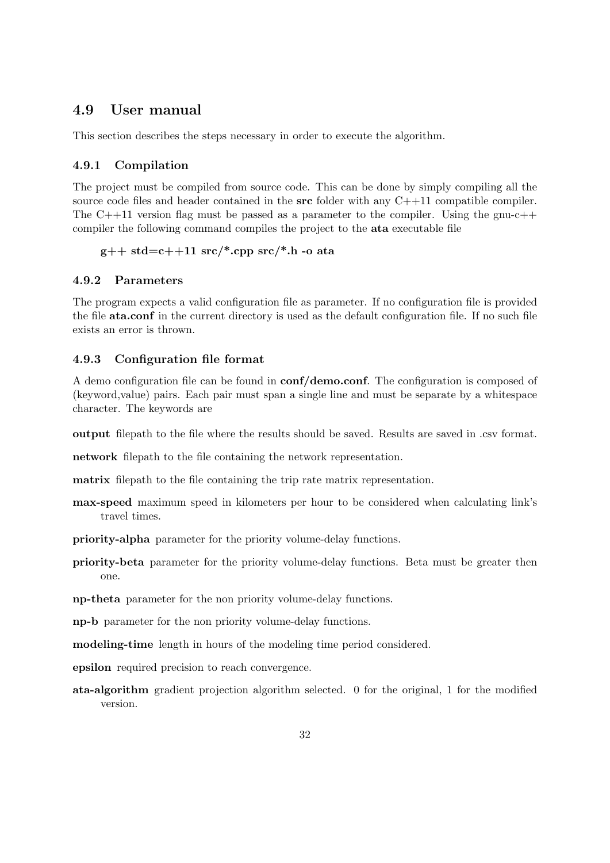#### 4.9 User manual

This section describes the steps necessary in order to execute the algorithm.

#### 4.9.1 Compilation

The project must be compiled from source code. This can be done by simply compiling all the source code files and header contained in the  $src$  folder with any  $C+11$  compatible compiler. The  $C++11$  version flag must be passed as a parameter to the compiler. Using the gnu- $c++$ compiler the following command compiles the project to the ata executable file

#### $g++$  std=c++11 src/\*.cpp src/\*.h -o ata

#### 4.9.2 Parameters

The program expects a valid configuration file as parameter. If no configuration file is provided the file ata.conf in the current directory is used as the default configuration file. If no such file exists an error is thrown.

#### 4.9.3 Configuration file format

A demo configuration file can be found in conf/demo.conf. The configuration is composed of (keyword,value) pairs. Each pair must span a single line and must be separate by a whitespace character. The keywords are

output filepath to the file where the results should be saved. Results are saved in .csv format.

network filepath to the file containing the network representation.

matrix filepath to the file containing the trip rate matrix representation.

max-speed maximum speed in kilometers per hour to be considered when calculating link's travel times.

priority-alpha parameter for the priority volume-delay functions.

priority-beta parameter for the priority volume-delay functions. Beta must be greater then one.

np-theta parameter for the non priority volume-delay functions.

np-b parameter for the non priority volume-delay functions.

modeling-time length in hours of the modeling time period considered.

epsilon required precision to reach convergence.

ata-algorithm gradient projection algorithm selected. 0 for the original, 1 for the modified version.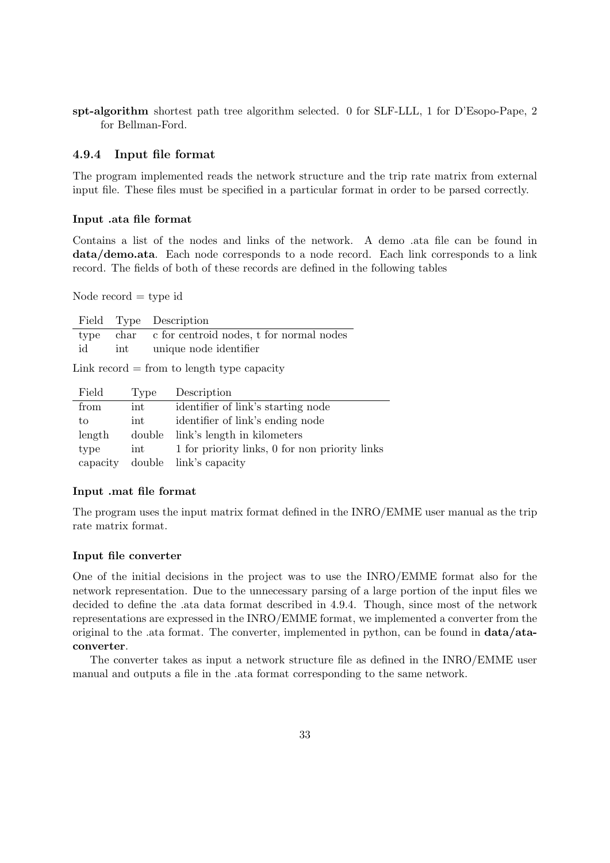spt-algorithm shortest path tree algorithm selected. 0 for SLF-LLL, 1 for D'Esopo-Pape, 2 for Bellman-Ford.

#### 4.9.4 Input file format

The program implemented reads the network structure and the trip rate matrix from external input file. These files must be specified in a particular format in order to be parsed correctly.

#### Input .ata file format

Contains a list of the nodes and links of the network. A demo .ata file can be found in data/demo.ata. Each node corresponds to a node record. Each link corresponds to a link record. The fields of both of these records are defined in the following tables

Node  $record = type$  id

|  | Field Type Description                             |
|--|----------------------------------------------------|
|  | type char c for centroid nodes, t for normal nodes |
|  | id int unique node identifier                      |

Link  $record = from to length type capacity$ 

| Field    | Type               | Description                                    |
|----------|--------------------|------------------------------------------------|
| from     | $int_{ }$          | identifier of link's starting node             |
| to       | int                | identifier of link's ending node               |
| length   | double             | link's length in kilometers                    |
| type     | $int_{\mathbb{R}}$ | 1 for priority links, 0 for non priority links |
| capacity |                    | double link's capacity                         |

#### Input .mat file format

The program uses the input matrix format defined in the INRO/EMME user manual as the trip rate matrix format.

#### Input file converter

One of the initial decisions in the project was to use the INRO/EMME format also for the network representation. Due to the unnecessary parsing of a large portion of the input files we decided to define the .ata data format described in 4.9.4. Though, since most of the network representations are expressed in the INRO/EMME format, we implemented a converter from the original to the .ata format. The converter, implemented in python, can be found in data/ataconverter.

The converter takes as input a network structure file as defined in the INRO/EMME user manual and outputs a file in the .ata format corresponding to the same network.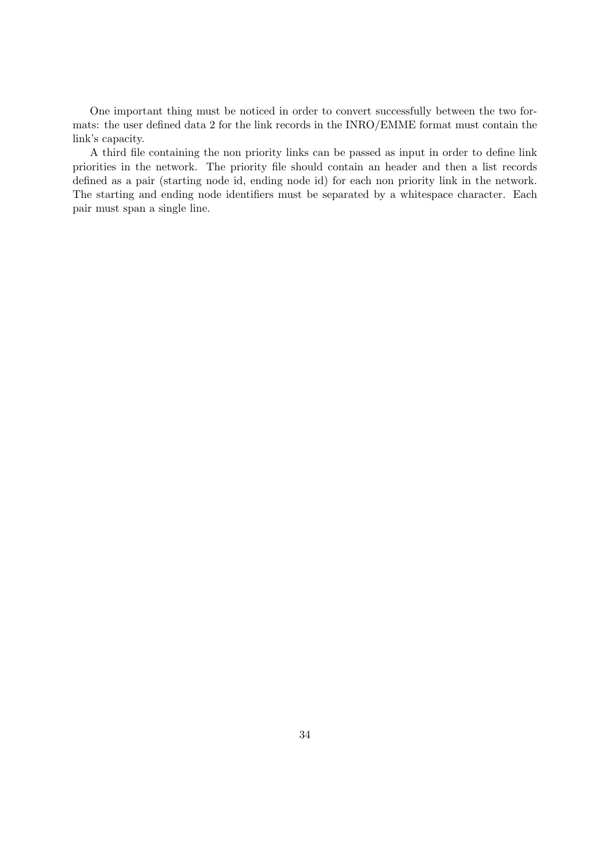One important thing must be noticed in order to convert successfully between the two formats: the user defined data 2 for the link records in the INRO/EMME format must contain the link's capacity.

A third file containing the non priority links can be passed as input in order to define link priorities in the network. The priority file should contain an header and then a list records defined as a pair (starting node id, ending node id) for each non priority link in the network. The starting and ending node identifiers must be separated by a whitespace character. Each pair must span a single line.